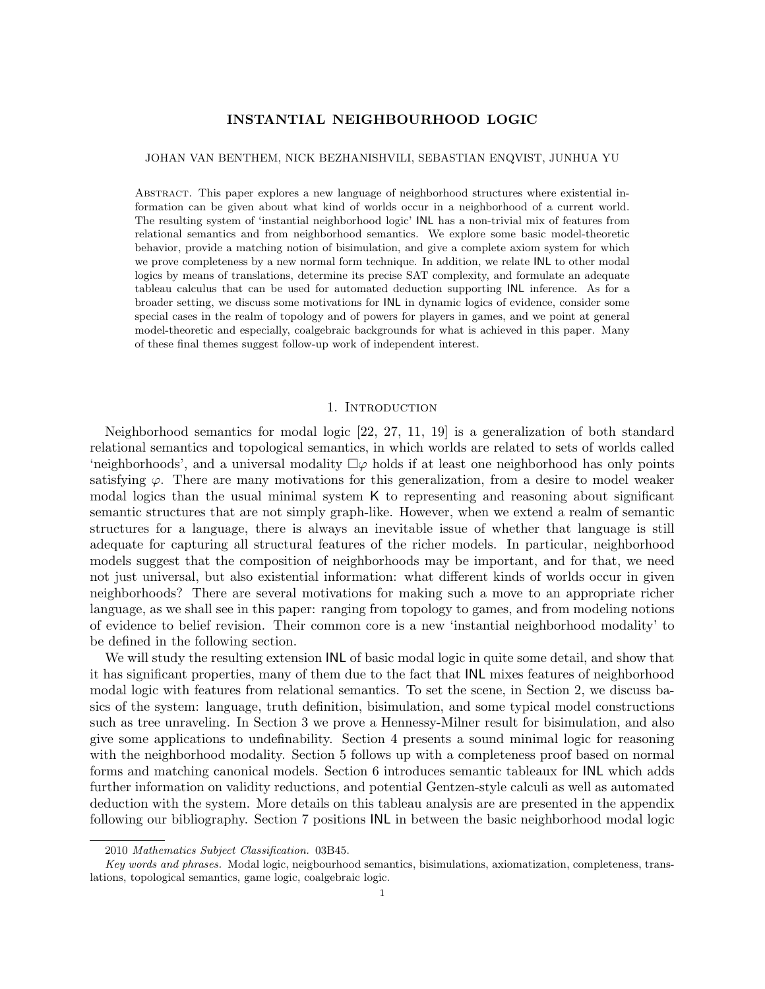# INSTANTIAL NEIGHBOURHOOD LOGIC

## JOHAN VAN BENTHEM, NICK BEZHANISHVILI, SEBASTIAN ENQVIST, JUNHUA YU

Abstract. This paper explores a new language of neighborhood structures where existential information can be given about what kind of worlds occur in a neighborhood of a current world. The resulting system of 'instantial neighborhood logic' INL has a non-trivial mix of features from relational semantics and from neighborhood semantics. We explore some basic model-theoretic behavior, provide a matching notion of bisimulation, and give a complete axiom system for which we prove completeness by a new normal form technique. In addition, we relate INL to other modal logics by means of translations, determine its precise SAT complexity, and formulate an adequate tableau calculus that can be used for automated deduction supporting INL inference. As for a broader setting, we discuss some motivations for INL in dynamic logics of evidence, consider some special cases in the realm of topology and of powers for players in games, and we point at general model-theoretic and especially, coalgebraic backgrounds for what is achieved in this paper. Many of these final themes suggest follow-up work of independent interest.

### 1. INTRODUCTION

Neighborhood semantics for modal logic [22, 27, 11, 19] is a generalization of both standard relational semantics and topological semantics, in which worlds are related to sets of worlds called 'neighborhoods', and a universal modality  $\Box \varphi$  holds if at least one neighborhood has only points satisfying  $\varphi$ . There are many motivations for this generalization, from a desire to model weaker modal logics than the usual minimal system K to representing and reasoning about significant semantic structures that are not simply graph-like. However, when we extend a realm of semantic structures for a language, there is always an inevitable issue of whether that language is still adequate for capturing all structural features of the richer models. In particular, neighborhood models suggest that the composition of neighborhoods may be important, and for that, we need not just universal, but also existential information: what different kinds of worlds occur in given neighborhoods? There are several motivations for making such a move to an appropriate richer language, as we shall see in this paper: ranging from topology to games, and from modeling notions of evidence to belief revision. Their common core is a new 'instantial neighborhood modality' to be defined in the following section.

We will study the resulting extension INL of basic modal logic in quite some detail, and show that it has significant properties, many of them due to the fact that INL mixes features of neighborhood modal logic with features from relational semantics. To set the scene, in Section 2, we discuss basics of the system: language, truth definition, bisimulation, and some typical model constructions such as tree unraveling. In Section 3 we prove a Hennessy-Milner result for bisimulation, and also give some applications to undefinability. Section 4 presents a sound minimal logic for reasoning with the neighborhood modality. Section 5 follows up with a completeness proof based on normal forms and matching canonical models. Section 6 introduces semantic tableaux for INL which adds further information on validity reductions, and potential Gentzen-style calculi as well as automated deduction with the system. More details on this tableau analysis are are presented in the appendix following our bibliography. Section 7 positions INL in between the basic neighborhood modal logic

<sup>2010</sup> Mathematics Subject Classification. 03B45.

Key words and phrases. Modal logic, neigbourhood semantics, bisimulations, axiomatization, completeness, translations, topological semantics, game logic, coalgebraic logic.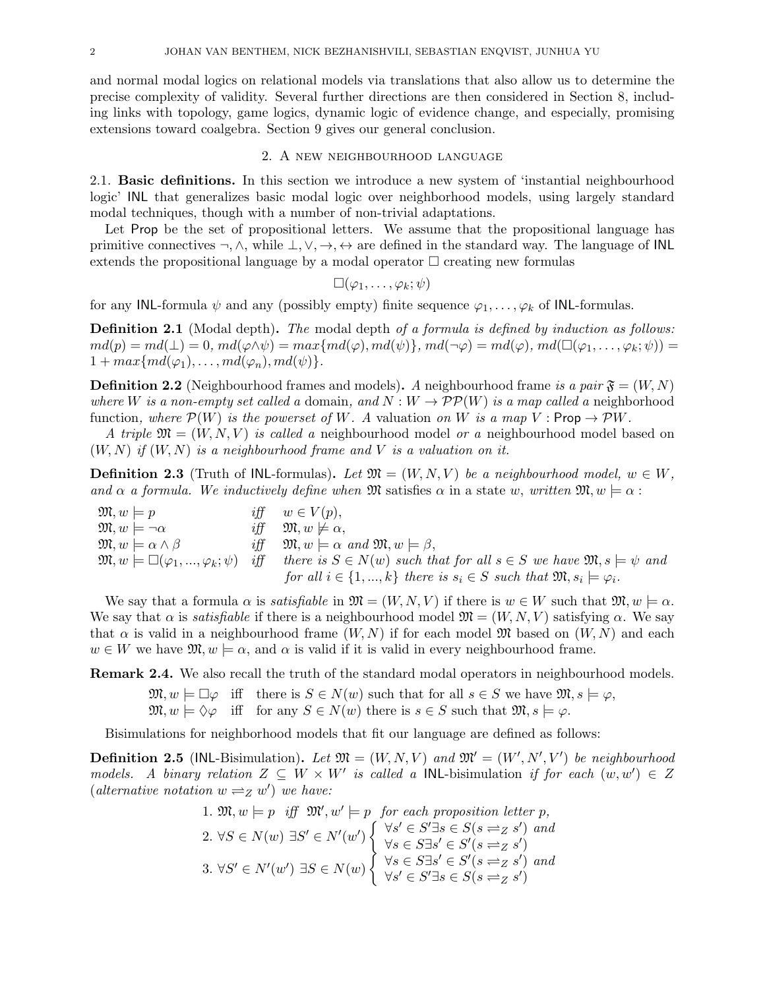and normal modal logics on relational models via translations that also allow us to determine the precise complexity of validity. Several further directions are then considered in Section 8, including links with topology, game logics, dynamic logic of evidence change, and especially, promising extensions toward coalgebra. Section 9 gives our general conclusion.

### 2. A new neighbourhood language

2.1. Basic definitions. In this section we introduce a new system of 'instantial neighbourhood logic' INL that generalizes basic modal logic over neighborhood models, using largely standard modal techniques, though with a number of non-trivial adaptations.

Let Prop be the set of propositional letters. We assume that the propositional language has primitive connectives  $\neg, \wedge$ , while  $\bot, \vee, \rightarrow, \leftrightarrow$  are defined in the standard way. The language of INL extends the propositional language by a modal operator  $\Box$  creating new formulas

$$
\Box(\varphi_1,\ldots,\varphi_k;\psi)
$$

for any INL-formula  $\psi$  and any (possibly empty) finite sequence  $\varphi_1, \ldots, \varphi_k$  of INL-formulas.

**Definition 2.1** (Modal depth). The modal depth of a formula is defined by induction as follows:  $md(p) = md(\perp) = 0, md(\varphi \wedge \psi) = max\{md(\varphi), md(\psi)\}, md(\neg \varphi) = md(\varphi), md(\Box(\varphi_1, \ldots, \varphi_k; \psi)) =$  $1 + max{md(\varphi_1), \ldots, md(\varphi_n), md(\psi)}.$ 

**Definition 2.2** (Neighbourhood frames and models). A neighbourhood frame is a pair  $\mathfrak{F} = (W, N)$ where W is a non-empty set called a domain, and  $N: W \to \mathcal{PP}(W)$  is a map called a neighborhood function, where  $\mathcal{P}(W)$  is the powerset of W. A valuation on W is a map V : Prop  $\rightarrow \mathcal{P}W$ .

A triple  $\mathfrak{M} = (W, N, V)$  is called a neighbourhood model or a neighbourhood model based on  $(W, N)$  if  $(W, N)$  is a neighbourhood frame and V is a valuation on it.

**Definition 2.3** (Truth of INL-formulas). Let  $\mathfrak{M} = (W, N, V)$  be a neighbourhood model,  $w \in W$ , and  $\alpha$  a formula. We inductively define when  $\mathfrak{M}$  satisfies  $\alpha$  in a state w, written  $\mathfrak{M}, w \models \alpha$ :

 $\mathfrak{M}, w \models p$  iff  $w \in V(p)$ ,  $\mathfrak{M}, w \models \neg \alpha$  iff  $\mathfrak{M}, w \not\models \alpha,$  $\mathfrak{M}, w \models \alpha \wedge \beta$  iff  $\mathfrak{M}, w \models \alpha$  and  $\mathfrak{M}, w \models \beta$ ,  $\mathfrak{M}, w \models \Box(\varphi_1, ..., \varphi_k; \psi)$  iff there is  $S \in N(w)$  such that for all  $s \in S$  we have  $\mathfrak{M}, s \models \psi$  and for all  $i \in \{1, ..., k\}$  there is  $s_i \in S$  such that  $\mathfrak{M}, s_i \models \varphi_i$ .

We say that a formula  $\alpha$  is *satisfiable* in  $\mathfrak{M} = (W, N, V)$  if there is  $w \in W$  such that  $\mathfrak{M}, w \models \alpha$ . We say that  $\alpha$  is *satisfiable* if there is a neighbourhood model  $\mathfrak{M} = (W, N, V)$  satisfying  $\alpha$ . We say that  $\alpha$  is valid in a neighbourhood frame  $(W, N)$  if for each model  $\mathfrak{M}$  based on  $(W, N)$  and each  $w \in W$  we have  $\mathfrak{M}, w \models \alpha$ , and  $\alpha$  is valid if it is valid in every neighbourhood frame.

Remark 2.4. We also recall the truth of the standard modal operators in neighbourhood models.

 $\mathfrak{M}, w \models \Box \varphi$  iff there is  $S \in N(w)$  such that for all  $s \in S$  we have  $\mathfrak{M}, s \models \varphi$ ,  $\mathfrak{M}, w \models \Diamond \varphi$  iff for any  $S \in N(w)$  there is  $s \in S$  such that  $\mathfrak{M}, s \models \varphi$ .

Bisimulations for neighborhood models that fit our language are defined as follows:

**Definition 2.5** (INL-Bisimulation). Let  $\mathfrak{M} = (W, N, V)$  and  $\mathfrak{M}' = (W', N', V')$  be neighbourhood models. A binary relation  $Z \subseteq W \times W'$  is called a INL-bisimulation if for each  $(w, w') \in Z$ (alternative notation  $w \rightleftharpoons z w'$ ) we have:

1. 
$$
\mathfrak{M}, w \models p
$$
 iff  $\mathfrak{M}', w' \models p$  for each proposition letter p,  
\n2.  $\forall S \in N(w) \exists S' \in N'(w') \begin{cases} \forall s' \in S' \exists s \in S(s \rightleftharpoons s') \text{ and} \\ \forall s \in S \exists s' \in S'(s \rightleftharpoons s') \\ \forall s \in S \exists s' \in S'(s \rightleftharpoons s') \text{ and} \\ \forall s' \in S \exists s' \in S'(s \rightleftharpoons s') \text{ and} \\ \forall s' \in S' \exists s \in S(s \rightleftharpoons s') \end{cases}$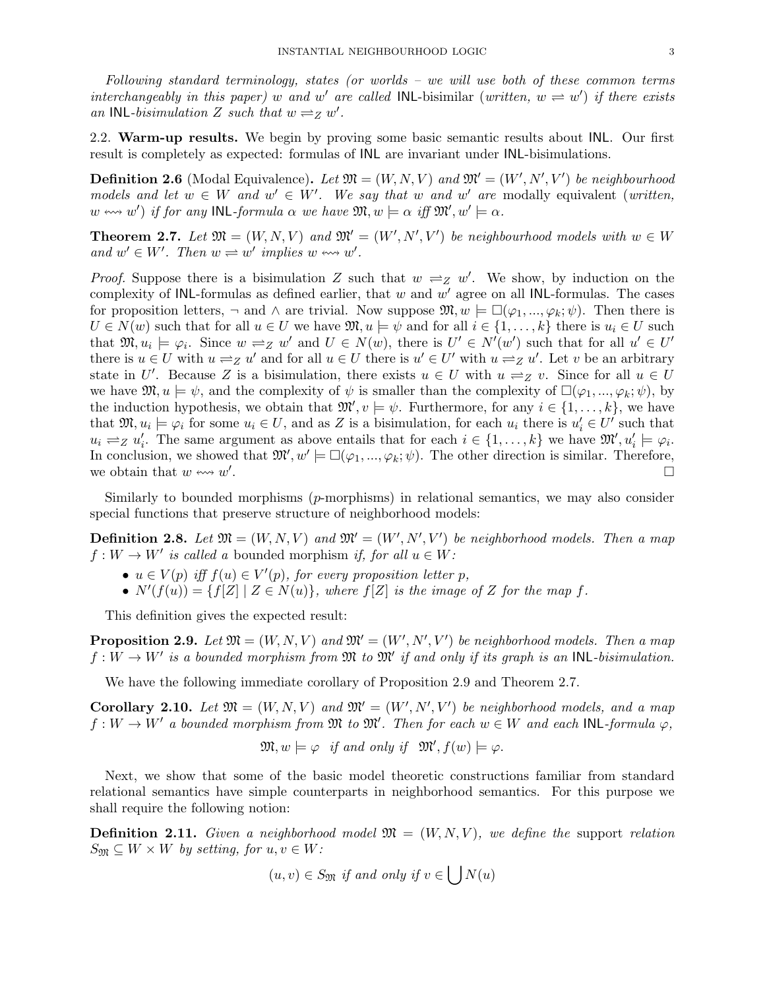Following standard terminology, states (or worlds – we will use both of these common terms interchangeably in this paper) w and w' are called INL-bisimilar (written,  $w \rightleftharpoons w'$ ) if there exists an INL-bisimulation Z such that  $w \rightleftharpoons_Z w'$ .

2.2. Warm-up results. We begin by proving some basic semantic results about INL. Our first result is completely as expected: formulas of INL are invariant under INL-bisimulations.

**Definition 2.6** (Modal Equivalence). Let  $\mathfrak{M} = (W, N, V)$  and  $\mathfrak{M}' = (W', N', V')$  be neighbourhood models and let  $w \in W$  and  $w' \in W'$ . We say that w and w' are modally equivalent (written,  $w \leftrightarrow w'$  if for any INL-formula  $\alpha$  we have  $\mathfrak{M}, w \models \alpha$  iff  $\mathfrak{M}', w' \models \alpha$ .

**Theorem 2.7.** Let  $\mathfrak{M} = (W, N, V)$  and  $\mathfrak{M}' = (W', N', V')$  be neighbourhood models with  $w \in W$ and  $w' \in W'$ . Then  $w \rightleftharpoons w'$  implies  $w \leftrightarrow w'$ .

*Proof.* Suppose there is a bisimulation Z such that  $w \rightleftharpoons z$  w'. We show, by induction on the complexity of INL-formulas as defined earlier, that  $w$  and  $w'$  agree on all INL-formulas. The cases for proposition letters,  $\neg$  and  $\wedge$  are trivial. Now suppose  $\mathfrak{M}, w \models \Box(\varphi_1, ..., \varphi_k; \psi)$ . Then there is  $U \in N(w)$  such that for all  $u \in U$  we have  $\mathfrak{M}, u \models \psi$  and for all  $i \in \{1, \ldots, k\}$  there is  $u_i \in U$  such that  $\mathfrak{M}, u_i \models \varphi_i$ . Since  $w \rightleftharpoons z w'$  and  $U \in N(w)$ , there is  $U' \in N'(w')$  such that for all  $u' \in U'$ there is  $u \in U$  with  $u \rightleftharpoons_Z u'$  and for all  $u \in U$  there is  $u' \in U'$  with  $u \rightleftharpoons_Z u'$ . Let v be an arbitrary state in U'. Because Z is a bisimulation, there exists  $u \in U$  with  $u \rightleftharpoons z v$ . Since for all  $u \in U$ we have  $\mathfrak{M}, u \models \psi$ , and the complexity of  $\psi$  is smaller than the complexity of  $\square(\varphi_1, ..., \varphi_k; \psi)$ , by the induction hypothesis, we obtain that  $\mathfrak{M}'$ ,  $v \models \psi$ . Furthermore, for any  $i \in \{1, \ldots, k\}$ , we have that  $\mathfrak{M}, u_i \models \varphi_i$  for some  $u_i \in U$ , and as Z is a bisimulation, for each  $u_i$  there is  $u'_i \in U'$  such that  $u_i \rightleftharpoons_{Z} u'_i$ . The same argument as above entails that for each  $i \in \{1, \ldots, k\}$  we have  $\mathfrak{M}', u'_i \models \varphi_i$ . In conclusion, we showed that  $\mathfrak{M}', w' \models \Box(\varphi_1, ..., \varphi_k; \psi)$ . The other direction is similar. Therefore, we obtain that  $w \leftrightarrow w'$ .

Similarly to bounded morphisms (p-morphisms) in relational semantics, we may also consider special functions that preserve structure of neighborhood models:

**Definition 2.8.** Let  $\mathfrak{M} = (W, N, V)$  and  $\mathfrak{M}' = (W', N', V')$  be neighborhood models. Then a map  $f: W \to W'$  is called a bounded morphism if, for all  $u \in W$ :

- $u \in V(p)$  iff  $f(u) \in V'(p)$ , for every proposition letter p,
- $N'(f(u)) = \{f[Z] \mid Z \in N(u)\},$  where  $f[Z]$  is the image of Z for the map f.

This definition gives the expected result:

**Proposition 2.9.** Let  $\mathfrak{M} = (W, N, V)$  and  $\mathfrak{M}' = (W', N', V')$  be neighborhood models. Then a map  $f: W \to W'$  is a bounded morphism from  $\mathfrak{M}$  to  $\mathfrak{M}'$  if and only if its graph is an INL-bisimulation.

We have the following immediate corollary of Proposition 2.9 and Theorem 2.7.

**Corollary 2.10.** Let  $\mathfrak{M} = (W, N, V)$  and  $\mathfrak{M}' = (W', N', V')$  be neighborhood models, and a map  $f: W \to W'$  a bounded morphism from  $\mathfrak{M}$  to  $\mathfrak{M}'$ . Then for each  $w \in W$  and each INL-formula  $\varphi$ ,

$$
\mathfrak{M}, w \models \varphi \text{ if and only if } \mathfrak{M}', f(w) \models \varphi.
$$

Next, we show that some of the basic model theoretic constructions familiar from standard relational semantics have simple counterparts in neighborhood semantics. For this purpose we shall require the following notion:

**Definition 2.11.** Given a neighborhood model  $\mathfrak{M} = (W, N, V)$ , we define the support relation  $S_{\mathfrak{M}} \subseteq W \times W$  by setting, for  $u, v \in W$ :

$$
(u, v) \in S_{\mathfrak{M}}
$$
 if and only if  $v \in \bigcup N(u)$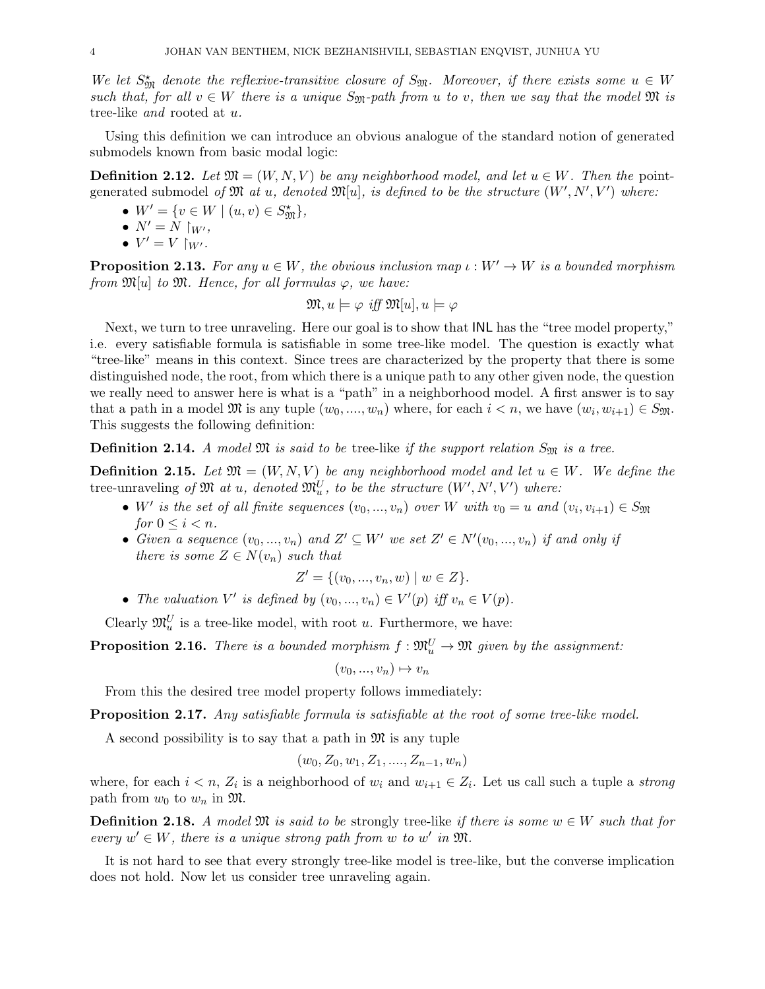We let  $S_{\mathfrak{M}}^*$  denote the reflexive-transitive closure of  $S_{\mathfrak{M}}$ . Moreover, if there exists some  $u \in W$ such that, for all  $v \in W$  there is a unique  $S_{\mathfrak{M}}$ -path from u to v, then we say that the model  $\mathfrak{M}$  is tree-like and rooted at u.

Using this definition we can introduce an obvious analogue of the standard notion of generated submodels known from basic modal logic:

**Definition 2.12.** Let  $\mathfrak{M} = (W, N, V)$  be any neighborhood model, and let  $u \in W$ . Then the pointgenerated submodel of  $\mathfrak{M}$  at u, denoted  $\mathfrak{M}[u]$ , is defined to be the structure  $(W', N', V')$  where:

- $W' = \{v \in W \mid (u, v) \in S_{\mathfrak{M}}^{\star}\},\$
- $N' = N \restriction_{W'},$
- $V' = V \upharpoonright_{W'}$ .

**Proposition 2.13.** For any  $u \in W$ , the obvious inclusion map  $\iota : W' \to W$  is a bounded morphism from  $\mathfrak{M}[u]$  to  $\mathfrak{M}$ . Hence, for all formulas  $\varphi$ , we have:

$$
\mathfrak{M}, u \models \varphi \text{ iff } \mathfrak{M}[u], u \models \varphi
$$

Next, we turn to tree unraveling. Here our goal is to show that INL has the "tree model property," i.e. every satisfiable formula is satisfiable in some tree-like model. The question is exactly what "tree-like" means in this context. Since trees are characterized by the property that there is some distinguished node, the root, from which there is a unique path to any other given node, the question we really need to answer here is what is a "path" in a neighborhood model. A first answer is to say that a path in a model  $\mathfrak{M}$  is any tuple  $(w_0, ..., w_n)$  where, for each  $i < n$ , we have  $(w_i, w_{i+1}) \in S_{\mathfrak{M}}$ . This suggests the following definition:

**Definition 2.14.** A model  $\mathfrak{M}$  is said to be tree-like if the support relation  $S_{\mathfrak{M}}$  is a tree.

**Definition 2.15.** Let  $\mathfrak{M} = (W, N, V)$  be any neighborhood model and let  $u \in W$ . We define the tree-unraveling of  $\mathfrak{M}$  at u, denoted  $\mathfrak{M}^U_u$ , to be the structure  $(W', N', V')$  where:

- W' is the set of all finite sequences  $(v_0, ..., v_n)$  over W with  $v_0 = u$  and  $(v_i, v_{i+1}) \in S_{\mathfrak{M}}$ for  $0 \leq i \leq n$ .
- Given a sequence  $(v_0, ..., v_n)$  and  $Z' \subseteq W'$  we set  $Z' \in N'(v_0, ..., v_n)$  if and only if there is some  $Z \in N(v_n)$  such that

$$
Z' = \{(v_0, ..., v_n, w) \mid w \in Z\}.
$$

• The valuation V' is defined by  $(v_0, ..., v_n) \in V'(p)$  iff  $v_n \in V(p)$ .

Clearly  $\mathfrak{M}_u^U$  is a tree-like model, with root u. Furthermore, we have:

**Proposition 2.16.** There is a bounded morphism  $f : \mathfrak{M}_u^U \to \mathfrak{M}$  given by the assignment:

$$
(v_0, ..., v_n) \mapsto v_n
$$

From this the desired tree model property follows immediately:

Proposition 2.17. Any satisfiable formula is satisfiable at the root of some tree-like model.

A second possibility is to say that a path in  $\mathfrak{M}$  is any tuple

$$
(w_0, Z_0, w_1, Z_1, \ldots, Z_{n-1}, w_n)
$$

where, for each  $i < n$ ,  $Z_i$  is a neighborhood of  $w_i$  and  $w_{i+1} \in Z_i$ . Let us call such a tuple a *strong* path from  $w_0$  to  $w_n$  in  $\mathfrak{M}$ .

**Definition 2.18.** A model  $\mathfrak{M}$  is said to be strongly tree-like if there is some  $w \in W$  such that for every  $w' \in W$ , there is a unique strong path from w to w' in  $\mathfrak{M}$ .

It is not hard to see that every strongly tree-like model is tree-like, but the converse implication does not hold. Now let us consider tree unraveling again.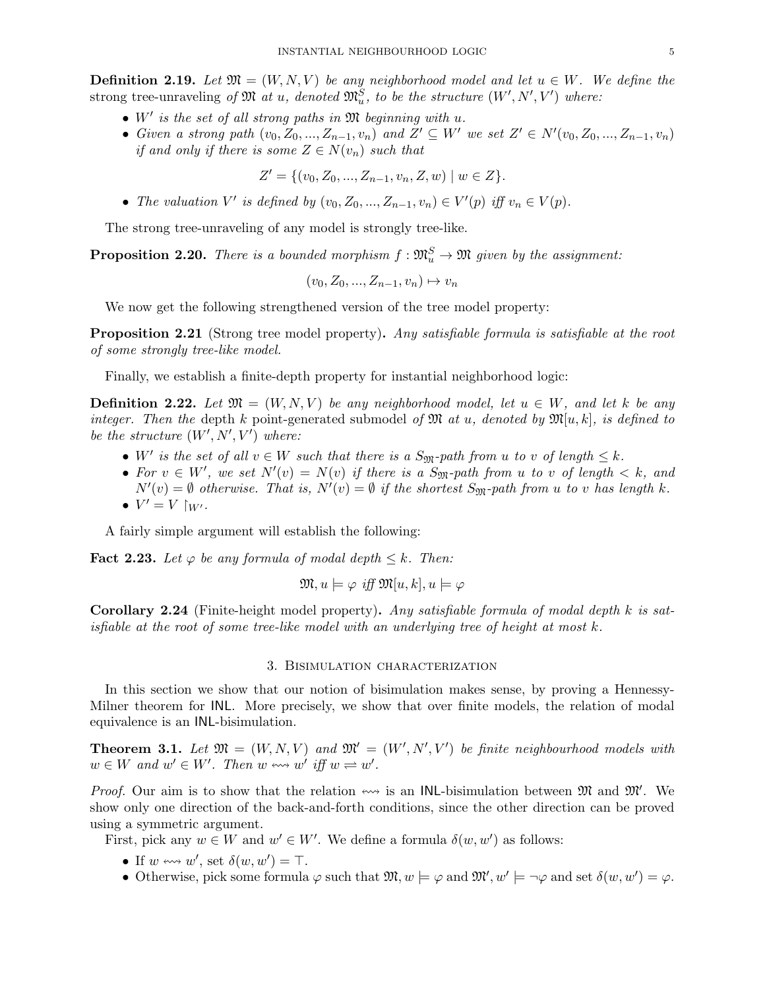**Definition 2.19.** Let  $\mathfrak{M} = (W, N, V)$  be any neighborhood model and let  $u \in W$ . We define the strong tree-unraveling of  $\mathfrak{M}$  at u, denoted  $\mathfrak{M}^S_u$ , to be the structure  $(W', N', V')$  where:

- $\bullet$  W' is the set of all strong paths in  $\mathfrak M$  beginning with u.
- Given a strong path  $(v_0, Z_0, ..., Z_{n-1}, v_n)$  and  $Z' \subseteq W'$  we set  $Z' \in N'(v_0, Z_0, ..., Z_{n-1}, v_n)$ if and only if there is some  $Z \in N(v_n)$  such that

$$
Z' = \{ (v_0, Z_0, ..., Z_{n-1}, v_n, Z, w) \mid w \in Z \}.
$$

• The valuation V' is defined by  $(v_0, Z_0, ..., Z_{n-1}, v_n) \in V'(p)$  iff  $v_n \in V(p)$ .

The strong tree-unraveling of any model is strongly tree-like.

**Proposition 2.20.** There is a bounded morphism  $f : \mathfrak{M}_u^S \to \mathfrak{M}$  given by the assignment:

$$
(v_0, Z_0, \ldots, Z_{n-1}, v_n) \mapsto v_n
$$

We now get the following strengthened version of the tree model property:

**Proposition 2.21** (Strong tree model property). Any satisfiable formula is satisfiable at the root of some strongly tree-like model.

Finally, we establish a finite-depth property for instantial neighborhood logic:

**Definition 2.22.** Let  $\mathfrak{M} = (W, N, V)$  be any neighborhood model, let  $u \in W$ , and let k be any integer. Then the depth k point-generated submodel of  $\mathfrak{M}$  at u, denoted by  $\mathfrak{M}[u, k]$ , is defined to be the structure  $(W', N', V')$  where:

- W' is the set of all  $v \in W$  such that there is a  $S_{\mathfrak{M}}$ -path from u to v of length  $\leq k$ .
- For  $v \in W'$ , we set  $N'(v) = N(v)$  if there is a S<sub>M</sub>-path from u to v of length  $\lt k$ , and  $N'(v) = \emptyset$  otherwise. That is,  $N'(v) = \emptyset$  if the shortest  $S_{\mathfrak{M}}$ -path from u to v has length k. •  $V' = V \upharpoonright_{W'}$ .

A fairly simple argument will establish the following:

**Fact 2.23.** Let  $\varphi$  be any formula of modal depth  $\leq k$ . Then:

$$
\mathfrak{M}, u \models \varphi \text{ iff } \mathfrak{M}[u,k], u \models \varphi
$$

Corollary 2.24 (Finite-height model property). Any satisfiable formula of modal depth k is satisfiable at the root of some tree-like model with an underlying tree of height at most  $k$ .

### 3. Bisimulation characterization

In this section we show that our notion of bisimulation makes sense, by proving a Hennessy-Milner theorem for INL. More precisely, we show that over finite models, the relation of modal equivalence is an INL-bisimulation.

**Theorem 3.1.** Let  $\mathfrak{M} = (W, N, V)$  and  $\mathfrak{M}' = (W', N', V')$  be finite neighbourhood models with  $w \in W$  and  $w' \in W'$ . Then  $w \leftrightarrow w'$  iff  $w \rightleftharpoons w'$ .

*Proof.* Our aim is to show that the relation  $\leftrightarrow$  is an INL-bisimulation between  $\mathfrak{M}$  and  $\mathfrak{M}'$ . We show only one direction of the back-and-forth conditions, since the other direction can be proved using a symmetric argument.

First, pick any  $w \in W$  and  $w' \in W'$ . We define a formula  $\delta(w, w')$  as follows:

- If  $w \leftrightarrow w'$ , set  $\delta(w, w') = \top$ .
- Otherwise, pick some formula  $\varphi$  such that  $\mathfrak{M}, w \models \varphi$  and  $\mathfrak{M}', w' \models \neg \varphi$  and set  $\delta(w, w') = \varphi$ .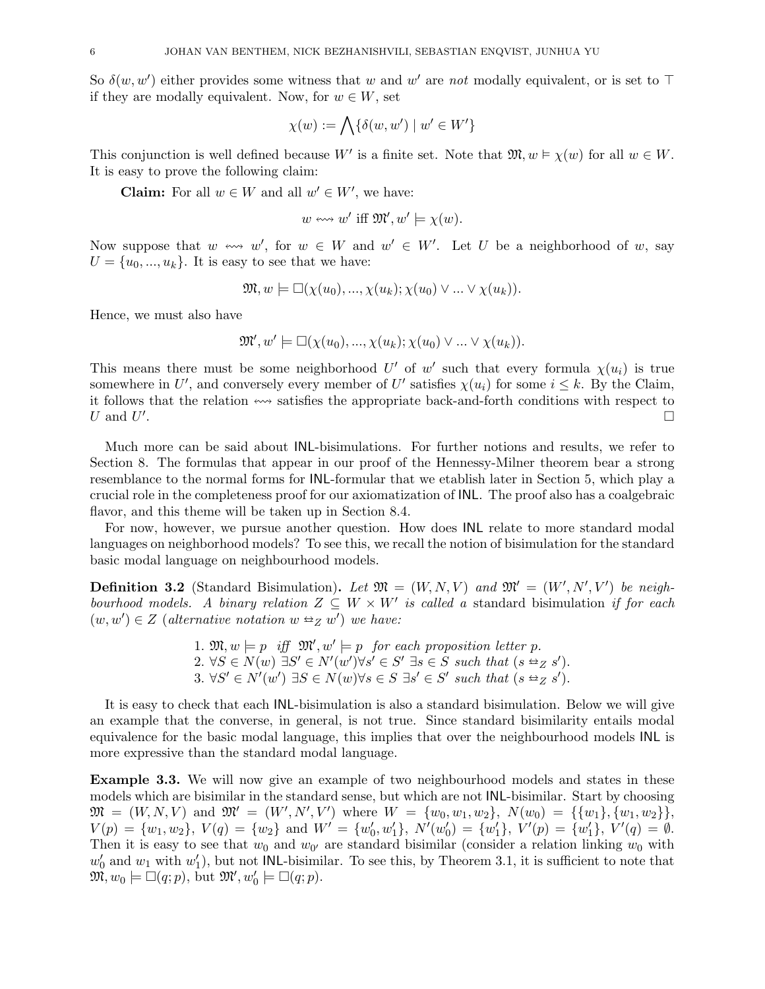So  $\delta(w, w')$  either provides some witness that w and w' are not modally equivalent, or is set to  $\top$ if they are modally equivalent. Now, for  $w \in W$ , set

$$
\chi(w):=\bigwedge\{\delta(w,w')\mid w'\in W'\}
$$

This conjunction is well defined because W' is a finite set. Note that  $\mathfrak{M}, w \models \chi(w)$  for all  $w \in W$ . It is easy to prove the following claim:

**Claim:** For all  $w \in W$  and all  $w' \in W'$ , we have:

$$
w \leftrightarrow w' \text{ iff } \mathfrak{M}', w' \models \chi(w).
$$

Now suppose that  $w \leftrightarrow w'$ , for  $w \in W$  and  $w' \in W'$ . Let U be a neighborhood of w, say  $U = \{u_0, ..., u_k\}$ . It is easy to see that we have:

$$
\mathfrak{M}, w \models \Box(\chi(u_0), \ldots, \chi(u_k); \chi(u_0) \lor \ldots \lor \chi(u_k)).
$$

Hence, we must also have

$$
\mathfrak{M}', w' \models \Box(\chi(u_0), ..., \chi(u_k); \chi(u_0) \lor ... \lor \chi(u_k)).
$$

This means there must be some neighborhood U' of w' such that every formula  $\chi(u_i)$  is true somewhere in U', and conversely every member of U' satisfies  $\chi(u_i)$  for some  $i \leq k$ . By the Claim, it follows that the relation  $\cdots$  satisfies the appropriate back-and-forth conditions with respect to  $U$  and  $U'$ .

Much more can be said about INL-bisimulations. For further notions and results, we refer to Section 8. The formulas that appear in our proof of the Hennessy-Milner theorem bear a strong resemblance to the normal forms for INL-formular that we etablish later in Section 5, which play a crucial role in the completeness proof for our axiomatization of INL. The proof also has a coalgebraic flavor, and this theme will be taken up in Section 8.4.

For now, however, we pursue another question. How does INL relate to more standard modal languages on neighborhood models? To see this, we recall the notion of bisimulation for the standard basic modal language on neighbourhood models.

**Definition 3.2** (Standard Bisimulation). Let  $\mathfrak{M} = (W, N, V)$  and  $\mathfrak{M}' = (W', N', V')$  be neighbourhood models. A binary relation  $Z \subseteq W \times W'$  is called a standard bisimulation if for each  $(w, w') \in Z$  (alternative notation  $w \triangleq_{Z} w'$ ) we have:

> 1.  $\mathfrak{M}, w \models p \text{ iff } \mathfrak{M}', w' \models p \text{ for each proposition letter } p.$ 2.  $\forall S \in N(w) \exists S' \in N'(w') \forall s' \in S' \exists s \in S$  such that  $(s \triangleq_Z s')$ . 3.  $\forall S' \in N'(w') \exists S \in N(w) \forall s \in S \exists s' \in S'$  such that  $(s \Leftrightarrow_{Z} s')$ .

It is easy to check that each INL-bisimulation is also a standard bisimulation. Below we will give an example that the converse, in general, is not true. Since standard bisimilarity entails modal equivalence for the basic modal language, this implies that over the neighbourhood models INL is more expressive than the standard modal language.

Example 3.3. We will now give an example of two neighbourhood models and states in these models which are bisimilar in the standard sense, but which are not INL-bisimilar. Start by choosing  $\mathfrak{M} = (W, N, V)$  and  $\mathfrak{M}' = (W', N', V')$  where  $W = \{w_0, w_1, w_2\}, N(w_0) = \{\{w_1\}, \{w_1, w_2\}\},$  $V(p) = \{w_1, w_2\}, V(q) = \{w_2\}$  and  $W' = \{w'_0, w'_1\}, N'(w'_0) = \{w'_1\}, V'(p) = \{w'_1\}, V'(q) = \emptyset.$ Then it is easy to see that  $w_0$  and  $w_{0'}$  are standard bisimilar (consider a relation linking  $w_0$  with  $w'_0$  and  $w_1$  with  $w'_1$ ), but not INL-bisimilar. To see this, by Theorem 3.1, it is sufficient to note that  $\mathfrak{M}, w_0 \models \Box(q; p)$ , but  $\mathfrak{M}', w'_0 \models \Box(q; p)$ .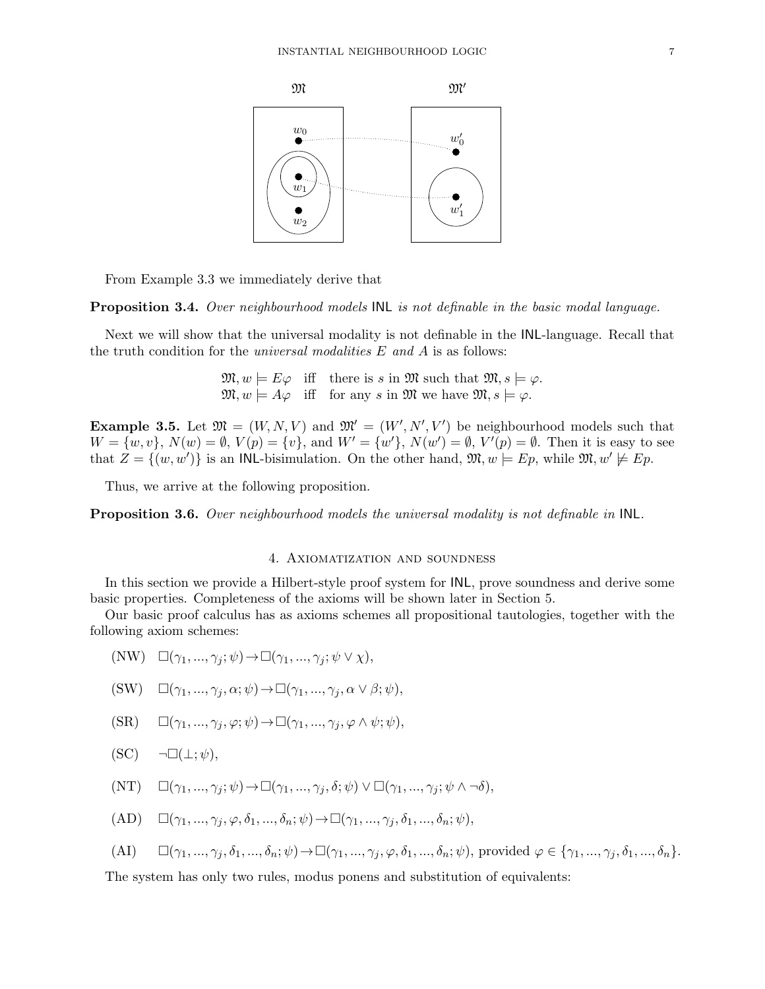

From Example 3.3 we immediately derive that

Proposition 3.4. Over neighbourhood models INL is not definable in the basic modal language.

Next we will show that the universal modality is not definable in the INL-language. Recall that the truth condition for the *universal modalities*  $E$  and  $A$  is as follows:

> $\mathfrak{M}, w \models E\varphi$  iff there is s in  $\mathfrak{M}$  such that  $\mathfrak{M}, s \models \varphi$ .  $\mathfrak{M}, w \models A\varphi$  iff for any s in  $\mathfrak{M}$  we have  $\mathfrak{M}, s \models \varphi$ .

**Example 3.5.** Let  $\mathfrak{M} = (W, N, V)$  and  $\mathfrak{M}' = (W', N', V')$  be neighbourhood models such that  $W = \{w, v\}$ ,  $N(w) = \emptyset$ ,  $V(p) = \{v\}$ , and  $W' = \{w'\}$ ,  $N(w') = \emptyset$ ,  $V'(p) = \emptyset$ . Then it is easy to see that  $Z = \{(w, w')\}$  is an INL-bisimulation. On the other hand,  $\mathfrak{M}, w \models Ep$ , while  $\mathfrak{M}, w' \not\models Ep$ .

Thus, we arrive at the following proposition.

Proposition 3.6. Over neighbourhood models the universal modality is not definable in INL.

# 4. Axiomatization and soundness

In this section we provide a Hilbert-style proof system for INL, prove soundness and derive some basic properties. Completeness of the axioms will be shown later in Section 5.

Our basic proof calculus has as axioms schemes all propositional tautologies, together with the following axiom schemes:

- (NW)  $\square(\gamma_1, ..., \gamma_i; \psi) \rightarrow \square(\gamma_1, ..., \gamma_i; \psi \vee \chi),$
- $(SW) \square (\gamma_1, ..., \gamma_i, \alpha; \psi) \rightarrow \square(\gamma_1, ..., \gamma_i, \alpha \vee \beta; \psi),$
- $(SR) \qquad \Box(\gamma_1, ..., \gamma_i, \varphi; \psi) \rightarrow \Box(\gamma_1, ..., \gamma_i, \varphi \wedge \psi; \psi),$
- $(SC) \quad \neg \Box(\bot; \psi),$
- $(\text{NT}) \quad \Box(\gamma_1, ..., \gamma_i; \psi) \rightarrow \Box(\gamma_1, ..., \gamma_i, \delta; \psi) \vee \Box(\gamma_1, ..., \gamma_i; \psi \wedge \neg \delta),$
- $(AD) \quad \Box(\gamma_1, \ldots, \gamma_i, \varphi, \delta_1, \ldots, \delta_n; \psi) \rightarrow \Box(\gamma_1, \ldots, \gamma_i, \delta_1, \ldots, \delta_n; \psi),$
- (AI)  $\Box(\gamma_1, ..., \gamma_i, \delta_1, ..., \delta_n; \psi) \rightarrow \Box(\gamma_1, ..., \gamma_j, \varphi, \delta_1, ..., \delta_n; \psi)$ , provided  $\varphi \in {\gamma_1, ..., \gamma_j, \delta_1, ..., \delta_n}.$

The system has only two rules, modus ponens and substitution of equivalents: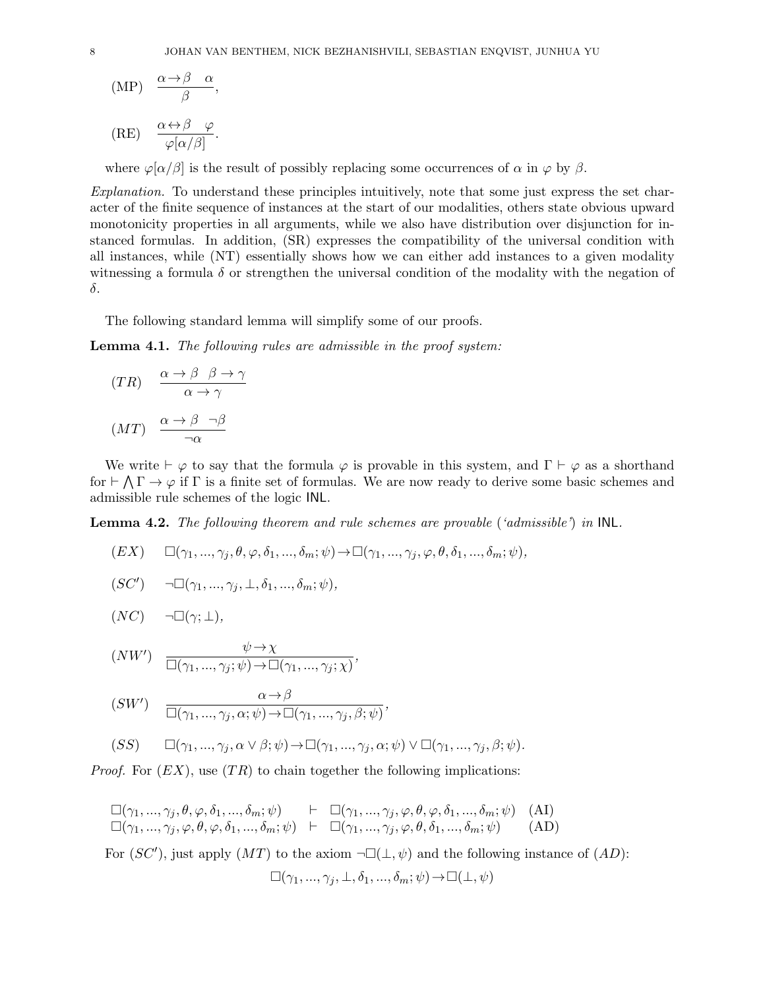$$
\text{(MP)} \quad \frac{\alpha \to \beta \quad \alpha}{\beta},
$$

$$
(RE) \quad \frac{\alpha \leftrightarrow \beta \quad \varphi}{\varphi[\alpha/\beta]}.
$$

where  $\varphi[\alpha/\beta]$  is the result of possibly replacing some occurrences of  $\alpha$  in  $\varphi$  by  $\beta$ .

Explanation. To understand these principles intuitively, note that some just express the set character of the finite sequence of instances at the start of our modalities, others state obvious upward monotonicity properties in all arguments, while we also have distribution over disjunction for instanced formulas. In addition, (SR) expresses the compatibility of the universal condition with all instances, while (NT) essentially shows how we can either add instances to a given modality witnessing a formula  $\delta$  or strengthen the universal condition of the modality with the negation of δ.

The following standard lemma will simplify some of our proofs.

Lemma 4.1. The following rules are admissible in the proof system:

$$
(TR) \quad \frac{\alpha \to \beta \quad \beta \to \gamma}{\alpha \to \gamma}
$$

$$
(MT) \quad \frac{\alpha \to \beta \quad \neg \beta}{\neg \alpha}
$$

We write  $\vdash \varphi$  to say that the formula  $\varphi$  is provable in this system, and  $\Gamma \vdash \varphi$  as a shorthand for  $\vdash \bigwedge \Gamma \to \varphi$  if  $\Gamma$  is a finite set of formulas. We are now ready to derive some basic schemes and admissible rule schemes of the logic INL.

**Lemma 4.2.** The following theorem and rule schemes are provable ('admissible') in  $\mathsf{INL}$ .

$$
(EX) \qquad \Box(\gamma_1,...,\gamma_j,\theta,\varphi,\delta_1,...,\delta_m;\psi)\rightarrow \Box(\gamma_1,...,\gamma_j,\varphi,\theta,\delta_1,...,\delta_m;\psi),
$$

$$
(SC') \qquad \neg \Box(\gamma_1, \ldots, \gamma_j, \bot, \delta_1, \ldots, \delta_m; \psi),
$$

$$
(NC) \qquad \neg \Box(\gamma; \bot),
$$

$$
(NW') \quad \frac{\psi \to \chi}{\Box(\gamma_1, ..., \gamma_j; \psi) \to \Box(\gamma_1, ..., \gamma_j; \chi)},
$$

$$
(SW') \quad \frac{\alpha \to \beta}{\Box(\gamma_1, \ldots, \gamma_j, \alpha; \psi) \to \Box(\gamma_1, \ldots, \gamma_j, \beta; \psi)},
$$

$$
(SS) \qquad \Box(\gamma_1, ..., \gamma_j, \alpha \lor \beta; \psi) \to \Box(\gamma_1, ..., \gamma_j, \alpha; \psi) \lor \Box(\gamma_1, ..., \gamma_j, \beta; \psi).
$$

*Proof.* For  $(EX)$ , use  $TR)$  to chain together the following implications:

$$
\Box(\gamma_1, ..., \gamma_j, \theta, \varphi, \delta_1, ..., \delta_m; \psi) \models \Box(\gamma_1, ..., \gamma_j, \varphi, \theta, \varphi, \delta_1, ..., \delta_m; \psi)
$$
(AI)  

$$
\Box(\gamma_1, ..., \gamma_j, \varphi, \theta, \varphi, \delta_1, ..., \delta_m; \psi) \models \Box(\gamma_1, ..., \gamma_j, \varphi, \theta, \delta_1, ..., \delta_m; \psi)
$$
(AD)

For  $(SC')$ , just apply  $(MT)$  to the axiom  $\neg\Box(\bot, \psi)$  and the following instance of  $(AD)$ :

$$
\Box(\gamma_1, ..., \gamma_j, \bot, \delta_1, ..., \delta_m; \psi) \rightarrow \Box(\bot, \psi)
$$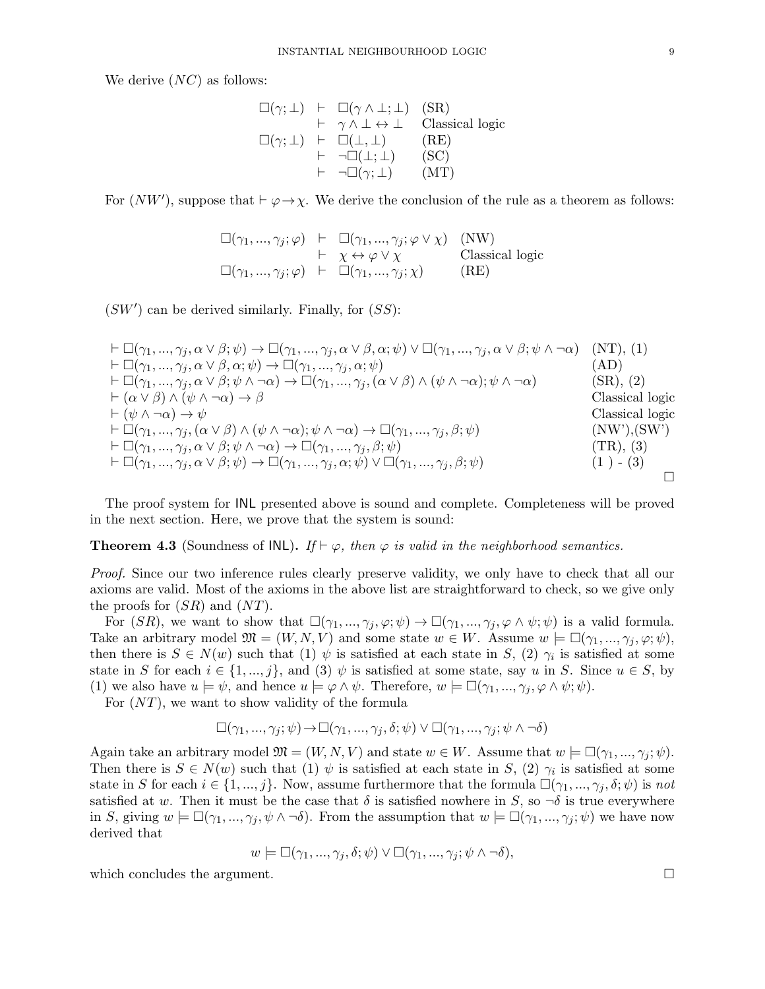We derive  $(NC)$  as follows:

$$
\square(\gamma; \bot) \ \vdash \ \square(\gamma \land \bot; \bot) \quad (\text{SR}) \t\vdash \ \gamma \land \bot \leftrightarrow \bot \quad \text{Classical logic} \n\square(\gamma; \bot) \ \vdash \ \square(\bot, \bot) \quad \quad (\text{RE}) \t\vdash \ \neg \square(\bot; \bot) \quad \quad (\text{SC}) \t\vdash \ \neg \square(\gamma; \bot) \quad \quad (\text{MT})
$$

For  $(NW')$ , suppose that  $\vdash \varphi \rightarrow \chi$ . We derive the conclusion of the rule as a theorem as follows:

$$
\square(\gamma_1, ..., \gamma_j; \varphi) \vdash \square(\gamma_1, ..., \gamma_j; \varphi \vee \chi) \quad (\text{NW}) \n\vdash \chi \leftrightarrow \varphi \vee \chi \qquad \text{Classical logic} \n\square(\gamma_1, ..., \gamma_j; \varphi) \vdash \square(\gamma_1, ..., \gamma_j; \chi) \qquad (\text{RE})
$$

 $(SW')$  can be derived similarly. Finally, for  $(SS)$ :

$$
\vdash \Box(\gamma_1, ..., \gamma_j, \alpha \lor \beta; \psi) \rightarrow \Box(\gamma_1, ..., \gamma_j, \alpha \lor \beta, \alpha; \psi) \lor \Box(\gamma_1, ..., \gamma_j, \alpha \lor \beta; \psi \land \neg \alpha) \quad (\text{NT}), (1)
$$
\n
$$
\vdash \Box(\gamma_1, ..., \gamma_j, \alpha \lor \beta, \alpha; \psi) \rightarrow \Box(\gamma_1, ..., \gamma_j, \alpha; \psi) \quad (\text{AD})
$$
\n
$$
\vdash \Box(\gamma_1, ..., \gamma_j, \alpha \lor \beta; \psi \land \neg \alpha) \rightarrow \Box(\gamma_1, ..., \gamma_j, \alpha; \psi) \quad (\text{AD})
$$
\n
$$
\vdash \Box(\gamma_1, ..., \gamma_j, \alpha \lor \beta; \psi \land \neg \alpha) \rightarrow \Box(\gamma_1, ..., \gamma_j, (\alpha \lor \beta) \land (\psi \land \neg \alpha); \psi \land \neg \alpha) \quad (\text{SR}), (2)
$$
\n
$$
\vdash (\alpha \lor \beta) \land (\psi \land \neg \alpha) \rightarrow \beta \quad \text{Classical logic}
$$
\n
$$
\vdash \Box(\gamma_1, ..., \gamma_j, (\alpha \lor \beta) \land (\psi \land \neg \alpha); \psi \land \neg \alpha) \rightarrow \Box(\gamma_1, ..., \gamma_j, \beta; \psi) \quad (\text{NW}'), (\text{SW}')
$$
\n
$$
\vdash \Box(\gamma_1, ..., \gamma_j, \alpha \lor \beta; \psi \land \neg \alpha) \rightarrow \Box(\gamma_1, ..., \gamma_j, \beta; \psi) \quad (\text{TR}), (3)
$$
\n
$$
\vdash \Box(\gamma_1, ..., \gamma_j, \alpha \lor \beta; \psi) \rightarrow \Box(\gamma_1, ..., \gamma_j, \alpha; \psi) \lor \Box(\gamma_1, ..., \gamma_j, \beta; \psi) \quad (\text{1 } ) \quad (3)
$$

The proof system for INL presented above is sound and complete. Completeness will be proved in the next section. Here, we prove that the system is sound:

**Theorem 4.3** (Soundness of INL). If  $\vdash \varphi$ , then  $\varphi$  is valid in the neighborhood semantics.

Proof. Since our two inference rules clearly preserve validity, we only have to check that all our axioms are valid. Most of the axioms in the above list are straightforward to check, so we give only the proofs for  $(SR)$  and  $(NT)$ .

For  $(SR)$ , we want to show that  $\square(\gamma_1, ..., \gamma_j, \varphi; \psi) \rightarrow \square(\gamma_1, ..., \gamma_j, \varphi \wedge \psi; \psi)$  is a valid formula. Take an arbitrary model  $\mathfrak{M} = (W, N, V)$  and some state  $w \in W$ . Assume  $w \models \Box(\gamma_1, ..., \gamma_i, \varphi; \psi)$ , then there is  $S \in N(w)$  such that (1)  $\psi$  is satisfied at each state in S, (2)  $\gamma_i$  is satisfied at some state in S for each  $i \in \{1, ..., j\}$ , and (3)  $\psi$  is satisfied at some state, say u in S. Since  $u \in S$ , by (1) we also have  $u \models \psi$ , and hence  $u \models \varphi \land \psi$ . Therefore,  $w \models \Box(\gamma_1, ..., \gamma_j, \varphi \land \psi; \psi)$ .

For  $(NT)$ , we want to show validity of the formula

$$
\Box(\gamma_1, ..., \gamma_j; \psi) \rightarrow \Box(\gamma_1, ..., \gamma_j, \delta; \psi) \lor \Box(\gamma_1, ..., \gamma_j; \psi \land \neg \delta)
$$

Again take an arbitrary model  $\mathfrak{M} = (W, N, V)$  and state  $w \in W$ . Assume that  $w \models \Box(\gamma_1, ..., \gamma_i; \psi)$ . Then there is  $S \in N(w)$  such that (1)  $\psi$  is satisfied at each state in S, (2)  $\gamma_i$  is satisfied at some state in S for each  $i \in \{1, ..., j\}$ . Now, assume furthermore that the formula  $\square(\gamma_1, ..., \gamma_j, \delta; \psi)$  is not satisfied at w. Then it must be the case that  $\delta$  is satisfied nowhere in S, so  $\neg \delta$  is true everywhere in S, giving  $w \models \Box(\gamma_1, ..., \gamma_j, \psi \land \neg \delta)$ . From the assumption that  $w \models \Box(\gamma_1, ..., \gamma_j; \psi)$  we have now derived that

$$
w \models \Box(\gamma_1, ..., \gamma_j, \delta; \psi) \lor \Box(\gamma_1, ..., \gamma_j; \psi \land \neg \delta),
$$

which concludes the argument.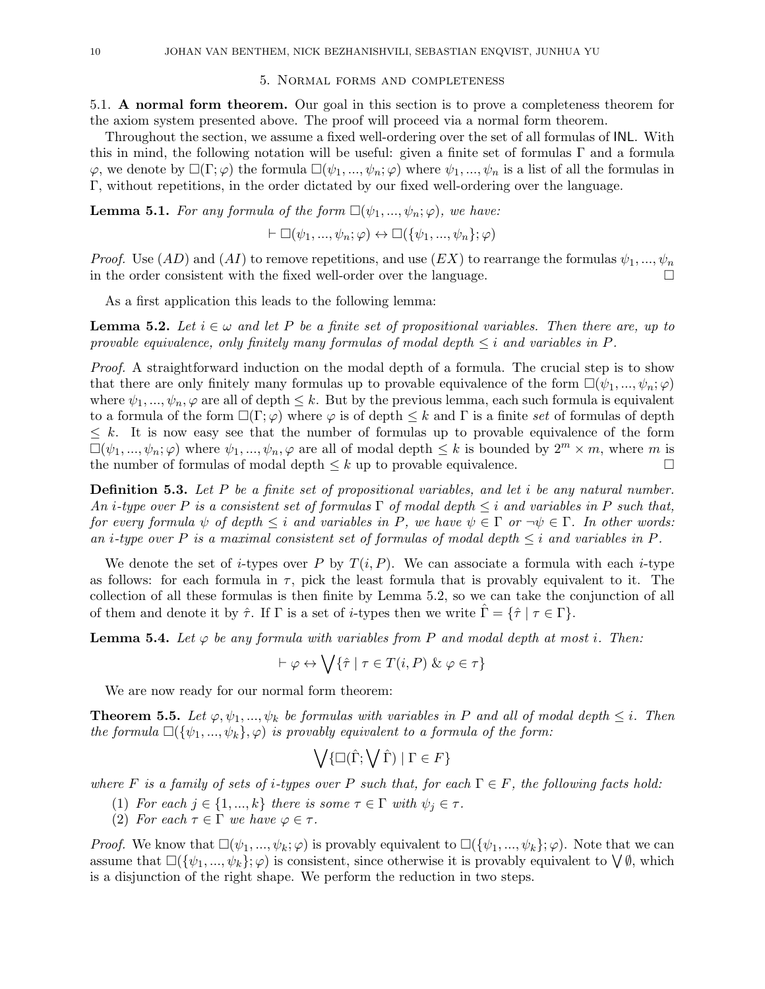### 5. Normal forms and completeness

5.1. A normal form theorem. Our goal in this section is to prove a completeness theorem for the axiom system presented above. The proof will proceed via a normal form theorem.

Throughout the section, we assume a fixed well-ordering over the set of all formulas of INL. With this in mind, the following notation will be useful: given a finite set of formulas Γ and a formula  $\varphi$ , we denote by  $\square(\Gamma;\varphi)$  the formula  $\square(\psi_1,\ldots,\psi_n;\varphi)$  where  $\psi_1,\ldots,\psi_n$  is a list of all the formulas in Γ, without repetitions, in the order dictated by our fixed well-ordering over the language.

**Lemma 5.1.** For any formula of the form  $\Box(\psi_1, ..., \psi_n; \varphi)$ , we have:

 $\vdash \Box(\psi_1, ..., \psi_n; \varphi) \leftrightarrow \Box(\{\psi_1, ..., \psi_n\}; \varphi)$ 

*Proof.* Use  $(AD)$  and  $(AI)$  to remove repetitions, and use  $(EX)$  to rearrange the formulas  $\psi_1, ..., \psi_n$ in the order consistent with the fixed well-order over the language.

As a first application this leads to the following lemma:

**Lemma 5.2.** Let  $i \in \omega$  and let P be a finite set of propositional variables. Then there are, up to provable equivalence, only finitely many formulas of modal depth  $\leq i$  and variables in P.

Proof. A straightforward induction on the modal depth of a formula. The crucial step is to show that there are only finitely many formulas up to provable equivalence of the form  $\square(\psi_1, ..., \psi_n; \varphi)$ where  $\psi_1, ..., \psi_n, \varphi$  are all of depth  $\leq k$ . But by the previous lemma, each such formula is equivalent to a formula of the form  $\square(\Gamma;\varphi)$  where  $\varphi$  is of depth  $\leq k$  and  $\Gamma$  is a finite set of formulas of depth  $\leq k$ . It is now easy see that the number of formulas up to provable equivalence of the form  $\square(\psi_1, ..., \psi_n; \varphi)$  where  $\psi_1, ..., \psi_n, \varphi$  are all of modal depth  $\leq k$  is bounded by  $2^m \times m$ , where m is the number of formulas of modal depth  $\leq k$  up to provable equivalence.

**Definition 5.3.** Let P be a finite set of propositional variables, and let i be any natural number. An i-type over P is a consistent set of formulas  $\Gamma$  of modal depth  $\leq i$  and variables in P such that, for every formula  $\psi$  of depth  $\leq i$  and variables in P, we have  $\psi \in \Gamma$  or  $\neg \psi \in \Gamma$ . In other words: an *i*-type over P is a maximal consistent set of formulas of modal depth  $\leq i$  and variables in P.

We denote the set of *i*-types over P by  $T(i, P)$ . We can associate a formula with each *i*-type as follows: for each formula in  $\tau$ , pick the least formula that is provably equivalent to it. The collection of all these formulas is then finite by Lemma 5.2, so we can take the conjunction of all of them and denote it by  $\hat{\tau}$ . If  $\Gamma$  is a set of *i*-types then we write  $\hat{\Gamma} = \{\hat{\tau} \mid \tau \in \Gamma\}$ .

**Lemma 5.4.** Let  $\varphi$  be any formula with variables from P and modal depth at most i. Then:

$$
\vdash \varphi \leftrightarrow \bigvee \{\hat{\tau} \mid \tau \in T(i, P) \& \varphi \in \tau\}
$$

We are now ready for our normal form theorem:

**Theorem 5.5.** Let  $\varphi, \psi_1, ..., \psi_k$  be formulas with variables in P and all of modal depth  $\leq i$ . Then the formula  $\square({\psi_1,...,\psi_k},\varphi)$  is provably equivalent to a formula of the form:

$$
\bigvee \{ \Box(\hat{\Gamma}; \bigvee \hat{\Gamma}) \mid \Gamma \in F \}
$$

where F is a family of sets of i-types over P such that, for each  $\Gamma \in F$ , the following facts hold:

- (1) For each  $j \in \{1, ..., k\}$  there is some  $\tau \in \Gamma$  with  $\psi_j \in \tau$ .
- (2) For each  $\tau \in \Gamma$  we have  $\varphi \in \tau$ .

*Proof.* We know that  $\square(\psi_1, ..., \psi_k; \varphi)$  is provably equivalent to  $\square(\{\psi_1, ..., \psi_k\}; \varphi)$ . Note that we can assume that  $\square(\{\psi_1,\ldots,\psi_k\};\varphi)$  is consistent, since otherwise it is provably equivalent to  $\bigvee \emptyset$ , which is a disjunction of the right shape. We perform the reduction in two steps.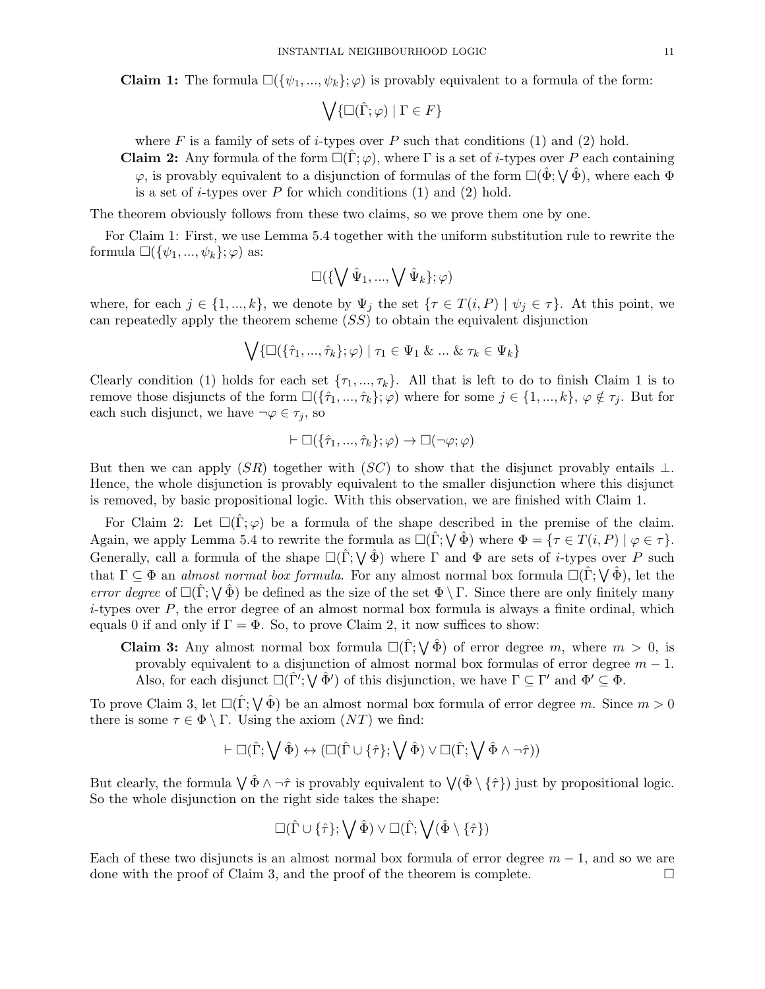**Claim 1:** The formula  $\square(\{\psi_1, ..., \psi_k\}; \varphi)$  is provably equivalent to a formula of the form:

$$
\bigvee\{\Box(\hat{\Gamma};\varphi)\mid\Gamma\in F\}
$$

where F is a family of sets of *i*-types over P such that conditions (1) and (2) hold.

**Claim 2:** Any formula of the form  $\square(\Gamma;\varphi)$ , where  $\Gamma$  is a set of *i*-types over P each containing  $\varphi$ , is provably equivalent to a disjunction of formulas of the form  $\square(\hat{\Phi}; \bigvee \hat{\Phi})$ , where each  $\Phi$ is a set of  $i$ -types over  $P$  for which conditions  $(1)$  and  $(2)$  hold.

The theorem obviously follows from these two claims, so we prove them one by one.

 $\mathbf{L}^{\mathbf{r}}$ 

For Claim 1: First, we use Lemma 5.4 together with the uniform substitution rule to rewrite the formula  $\square(\{\psi_1, ..., \psi_k\}; \varphi)$  as:

$$
\Box(\{\bigvee \hat{\Psi}_1,...,\bigvee \hat{\Psi}_k\};\varphi)
$$

where, for each  $j \in \{1, ..., k\}$ , we denote by  $\Psi_j$  the set  $\{\tau \in T(i, P) \mid \psi_j \in \tau\}$ . At this point, we can repeatedly apply the theorem scheme  $(SS)$  to obtain the equivalent disjunction

$$
\bigvee \{ \Box(\{\hat{\tau}_1, ..., \hat{\tau}_k\}; \varphi) \mid \tau_1 \in \Psi_1 \& \dots \& \tau_k \in \Psi_k \}
$$

Clearly condition (1) holds for each set  $\{\tau_1, ..., \tau_k\}$ . All that is left to do to finish Claim 1 is to remove those disjuncts of the form  $\square(\{\hat{\tau}_1, ..., \hat{\tau}_k\}; \varphi)$  where for some  $j \in \{1, ..., k\}, \varphi \notin \tau_j$ . But for each such disjunct, we have  $\neg \varphi \in \tau_j$ , so

$$
\vdash \Box(\{\hat{\tau}_1,...,\hat{\tau}_k\};\varphi)\to \Box(\neg\varphi;\varphi)
$$

But then we can apply  $(SR)$  together with  $(SC)$  to show that the disjunct provably entails  $\perp$ . Hence, the whole disjunction is provably equivalent to the smaller disjunction where this disjunct is removed, by basic propositional logic. With this observation, we are finished with Claim 1.

For Claim 2: Let  $\square(\Gamma;\varphi)$  be a formula of the shape described in the premise of the claim. Again, we apply Lemma 5.4 to rewrite the formula as  $\Box(\hat{\Gamma}; \bigvee \hat{\Phi})$  where  $\Phi = \{ \tau \in T(i, P) \mid \varphi \in \tau \}.$ Generally, call a formula of the shape  $\Box(\hat{\Gamma}; \bigvee \hat{\Phi})$  where  $\Gamma$  and  $\Phi$  are sets of *i*-types over P such that  $\Gamma \subseteq \Phi$  an *almost normal box formula*. For any almost normal box formula  $\square(\hat{\Gamma}; \bigvee \hat{\Phi})$ , let the error degree of  $\Box(\hat{\Gamma}; \bigvee \hat{\Phi})$  be defined as the size of the set  $\Phi \setminus \Gamma$ . Since there are only finitely many  $i$ -types over P, the error degree of an almost normal box formula is always a finite ordinal, which equals 0 if and only if  $\Gamma = \Phi$ . So, to prove Claim 2, it now suffices to show:

**Claim 3:** Any almost normal box formula  $\Box(\hat{\Gamma}; \bigvee \hat{\Phi})$  of error degree m, where  $m > 0$ , is provably equivalent to a disjunction of almost normal box formulas of error degree  $m - 1$ . Also, for each disjunct  $\square(\hat{\Gamma}'; \bigvee \hat{\Phi}')$  of this disjunction, we have  $\Gamma \subseteq \Gamma'$  and  $\Phi' \subseteq \Phi$ .

To prove Claim 3, let  $\square(\hat{\Gamma}; \bigvee \hat{\Phi})$  be an almost normal box formula of error degree m. Since  $m > 0$ there is some  $\tau \in \Phi \setminus \Gamma$ . Using the axiom  $(NT)$  we find:

$$
\vdash \Box(\hat{\Gamma}; \bigvee \hat{\Phi}) \leftrightarrow (\Box(\hat{\Gamma} \cup \{\hat{\tau}\}; \bigvee \hat{\Phi}) \vee \Box(\hat{\Gamma}; \bigvee \hat{\Phi} \wedge \neg \hat{\tau}))
$$

But clearly, the formula  $\bigvee \hat{\Phi} \wedge \neg \hat{\tau}$  is provably equivalent to  $\bigvee (\hat{\Phi} \setminus {\{\hat{\tau}\}})$  just by propositional logic. So the whole disjunction on the right side takes the shape:

$$
\Box(\hat{\Gamma}\cup\{\hat{\tau}\};\bigvee\hat{\Phi})\vee\Box(\hat{\Gamma};\bigvee(\hat{\Phi}\setminus\{\hat{\tau}\})
$$

Each of these two disjuncts is an almost normal box formula of error degree  $m-1$ , and so we are done with the proof of Claim 3, and the proof of the theorem is complete.  $\Box$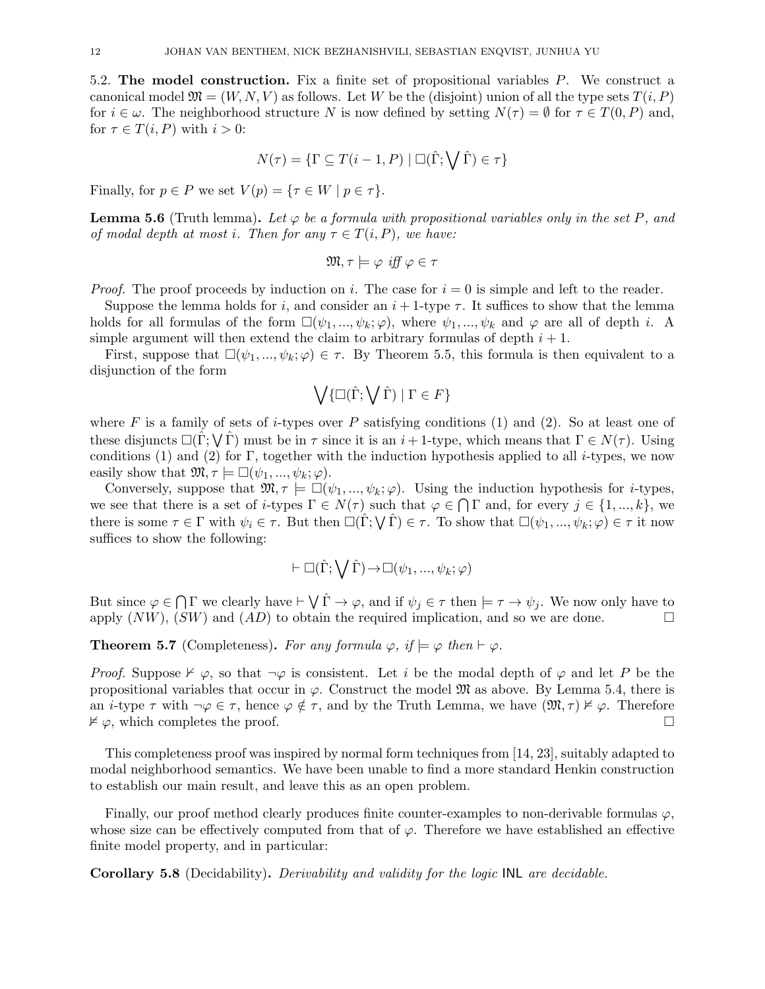5.2. The model construction. Fix a finite set of propositional variables P. We construct a canonical model  $\mathfrak{M} = (W, N, V)$  as follows. Let W be the (disjoint) union of all the type sets  $T(i, P)$ for  $i \in \omega$ . The neighborhood structure N is now defined by setting  $N(\tau) = \emptyset$  for  $\tau \in T(0, P)$  and, for  $\tau \in T(i, P)$  with  $i > 0$ :

$$
N(\tau) = \{ \Gamma \subseteq T(i-1, P) \mid \Box(\hat{\Gamma}; \bigvee \hat{\Gamma}) \in \tau \}
$$

Finally, for  $p \in P$  we set  $V(p) = \{ \tau \in W \mid p \in \tau \}.$ 

**Lemma 5.6** (Truth lemma). Let  $\varphi$  be a formula with propositional variables only in the set P, and of modal depth at most i. Then for any  $\tau \in T(i, P)$ , we have:

$$
\mathfrak{M}, \tau \models \varphi \text{ iff } \varphi \in \tau
$$

*Proof.* The proof proceeds by induction on i. The case for  $i = 0$  is simple and left to the reader.

Suppose the lemma holds for i, and consider an  $i + 1$ -type  $\tau$ . It suffices to show that the lemma holds for all formulas of the form  $\square(\psi_1, ..., \psi_k; \varphi)$ , where  $\psi_1, ..., \psi_k$  and  $\varphi$  are all of depth i. A simple argument will then extend the claim to arbitrary formulas of depth  $i + 1$ .

First, suppose that  $\square(\psi_1, \ldots, \psi_k; \varphi) \in \tau$ . By Theorem 5.5, this formula is then equivalent to a disjunction of the form

$$
\bigvee \{ \Box(\hat{\Gamma}; \bigvee \hat{\Gamma}) \mid \Gamma \in F \}
$$

where F is a family of sets of *i*-types over P satisfying conditions (1) and (2). So at least one of these disjuncts  $\square(\hat{\Gamma}; \bigvee \hat{\Gamma})$  must be in  $\tau$  since it is an  $i+1$ -type, which means that  $\Gamma \in N(\tau)$ . Using conditions (1) and (2) for  $\Gamma$ , together with the induction hypothesis applied to all *i*-types, we now easily show that  $\mathfrak{M}, \tau \models \Box(\psi_1, ..., \psi_k; \varphi)$ .

Conversely, suppose that  $\mathfrak{M}, \tau \models \Box(\psi_1, ..., \psi_k; \varphi)$ . Using the induction hypothesis for *i*-types, we see that there is a set of *i*-types  $\Gamma \in N(\tau)$  such that  $\varphi \in \bigcap \Gamma$  and, for every  $j \in \{1, ..., k\}$ , we there is some  $\tau \in \Gamma$  with  $\psi_i \in \tau$ . But then  $\Box(\hat{\Gamma}; \bigvee \hat{\Gamma}) \in \tau$ . To show that  $\Box(\psi_1, ..., \psi_k; \varphi) \in \tau$  it now suffices to show the following:

$$
\vdash \Box(\hat{\Gamma}; \bigvee \hat{\Gamma}) \rightarrow \Box(\psi_1, ..., \psi_k; \varphi)
$$

But since  $\varphi \in \bigcap \Gamma$  we clearly have  $\vdash \bigvee \hat{\Gamma} \to \varphi$ , and if  $\psi_j \in \tau$  then  $\models \tau \to \psi_j$ . We now only have to apply  $(NW)$ ,  $(SW)$  and  $(AD)$  to obtain the required implication, and so we are done.

**Theorem 5.7** (Completeness). For any formula  $\varphi$ , if  $\models \varphi$  then  $\models \varphi$ .

*Proof.* Suppose  $\nvdash \varphi$ , so that  $\neg \varphi$  is consistent. Let i be the modal depth of  $\varphi$  and let P be the propositional variables that occur in  $\varphi$ . Construct the model  $\mathfrak{M}$  as above. By Lemma 5.4, there is an *i*-type  $\tau$  with  $\neg \varphi \in \tau$ , hence  $\varphi \notin \tau$ , and by the Truth Lemma, we have  $(\mathfrak{M}, \tau) \nvDash \varphi$ . Therefore  $\nvDash \varphi$ , which completes the proof.

This completeness proof was inspired by normal form techniques from [14, 23], suitably adapted to modal neighborhood semantics. We have been unable to find a more standard Henkin construction to establish our main result, and leave this as an open problem.

Finally, our proof method clearly produces finite counter-examples to non-derivable formulas  $\varphi$ , whose size can be effectively computed from that of  $\varphi$ . Therefore we have established an effective finite model property, and in particular:

Corollary 5.8 (Decidability). Derivability and validity for the logic INL are decidable.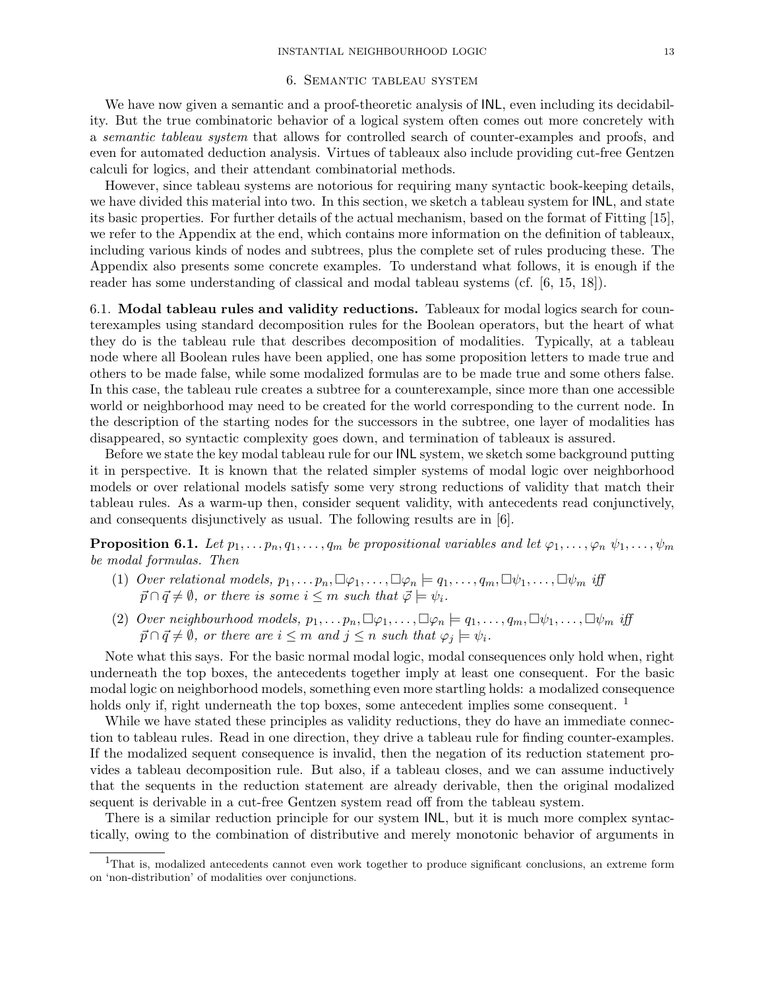## 6. Semantic tableau system

We have now given a semantic and a proof-theoretic analysis of  $\textsf{INL}$ , even including its decidability. But the true combinatoric behavior of a logical system often comes out more concretely with a semantic tableau system that allows for controlled search of counter-examples and proofs, and even for automated deduction analysis. Virtues of tableaux also include providing cut-free Gentzen calculi for logics, and their attendant combinatorial methods.

However, since tableau systems are notorious for requiring many syntactic book-keeping details, we have divided this material into two. In this section, we sketch a tableau system for INL, and state its basic properties. For further details of the actual mechanism, based on the format of Fitting [15], we refer to the Appendix at the end, which contains more information on the definition of tableaux, including various kinds of nodes and subtrees, plus the complete set of rules producing these. The Appendix also presents some concrete examples. To understand what follows, it is enough if the reader has some understanding of classical and modal tableau systems (cf. [6, 15, 18]).

6.1. Modal tableau rules and validity reductions. Tableaux for modal logics search for counterexamples using standard decomposition rules for the Boolean operators, but the heart of what they do is the tableau rule that describes decomposition of modalities. Typically, at a tableau node where all Boolean rules have been applied, one has some proposition letters to made true and others to be made false, while some modalized formulas are to be made true and some others false. In this case, the tableau rule creates a subtree for a counterexample, since more than one accessible world or neighborhood may need to be created for the world corresponding to the current node. In the description of the starting nodes for the successors in the subtree, one layer of modalities has disappeared, so syntactic complexity goes down, and termination of tableaux is assured.

Before we state the key modal tableau rule for our INL system, we sketch some background putting it in perspective. It is known that the related simpler systems of modal logic over neighborhood models or over relational models satisfy some very strong reductions of validity that match their tableau rules. As a warm-up then, consider sequent validity, with antecedents read conjunctively, and consequents disjunctively as usual. The following results are in [6].

**Proposition 6.1.** Let  $p_1, \ldots, p_n, q_1, \ldots, q_m$  be propositional variables and let  $\varphi_1, \ldots, \varphi_n$   $\psi_1, \ldots, \psi_m$ be modal formulas. Then

- (1) Over relational models,  $p_1, \ldots, p_n, \Box \varphi_1, \ldots, \Box \varphi_n \models q_1, \ldots, q_m, \Box \psi_1, \ldots, \Box \psi_m$  iff  $\vec{p} \cap \vec{q} \neq \emptyset$ , or there is some  $i \leq m$  such that  $\vec{\varphi} \models \psi_i$ .
- (2) Over neighbourhood models,  $p_1, \ldots, p_n, \Box \varphi_1, \ldots, \Box \varphi_n \models q_1, \ldots, q_m, \Box \psi_1, \ldots, \Box \psi_m$  iff  $\vec{p} \cap \vec{q} \neq \emptyset$ , or there are  $i \leq m$  and  $j \leq n$  such that  $\varphi_i \models \psi_i$ .

Note what this says. For the basic normal modal logic, modal consequences only hold when, right underneath the top boxes, the antecedents together imply at least one consequent. For the basic modal logic on neighborhood models, something even more startling holds: a modalized consequence holds only if, right underneath the top boxes, some antecedent implies some consequent. <sup>1</sup>

While we have stated these principles as validity reductions, they do have an immediate connection to tableau rules. Read in one direction, they drive a tableau rule for finding counter-examples. If the modalized sequent consequence is invalid, then the negation of its reduction statement provides a tableau decomposition rule. But also, if a tableau closes, and we can assume inductively that the sequents in the reduction statement are already derivable, then the original modalized sequent is derivable in a cut-free Gentzen system read off from the tableau system.

There is a similar reduction principle for our system INL, but it is much more complex syntactically, owing to the combination of distributive and merely monotonic behavior of arguments in

<sup>1</sup>That is, modalized antecedents cannot even work together to produce significant conclusions, an extreme form on 'non-distribution' of modalities over conjunctions.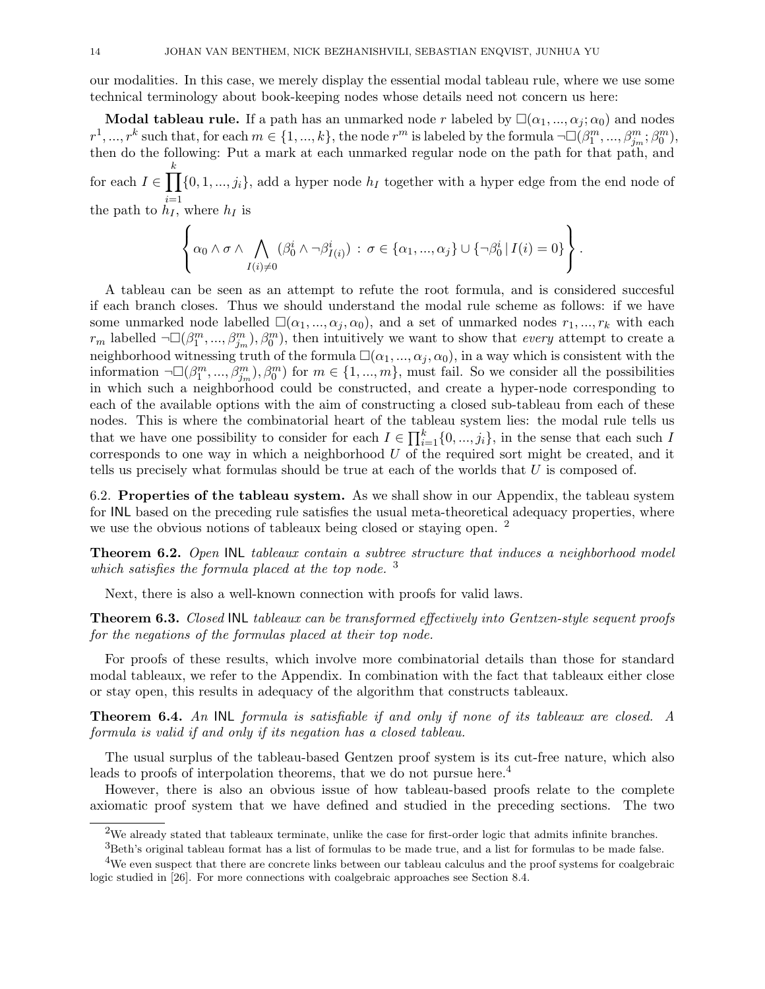our modalities. In this case, we merely display the essential modal tableau rule, where we use some technical terminology about book-keeping nodes whose details need not concern us here:

**Modal tableau rule.** If a path has an unmarked node r labeled by  $\square(\alpha_1, ..., \alpha_j; \alpha_0)$  and nodes  $r^1, ..., r^k$  such that, for each  $m \in \{1, ..., k\}$ , the node  $r^m$  is labeled by the formula  $\neg\Box(\beta_1^m, ..., \beta_{j_m}^m; \beta_0^m)$ , then do the following: Put a mark at each unmarked regular node on the path for that path, and for each  $I \in \prod$ k the path to  $\hat{h}_I$ , where  $h_I$  is  $\{0, 1, ..., j_i\}$ , add a hyper node  $h_I$  together with a hyper edge from the end node of

$$
\left\{\alpha_0\wedge \sigma \wedge \bigwedge_{I(i)\neq 0}(\beta_0^i\wedge \neg \beta_{I(i)}^i): \sigma\in \{\alpha_1,\dots,\alpha_j\}\cup \{\neg \beta_0^i | I(i)=0\}\right\}.
$$

A tableau can be seen as an attempt to refute the root formula, and is considered succesful if each branch closes. Thus we should understand the modal rule scheme as follows: if we have some unmarked node labelled  $\square(\alpha_1, ..., \alpha_j, \alpha_0)$ , and a set of unmarked nodes  $r_1, ..., r_k$  with each  $r_m$  labelled  $\neg\Box(\beta_1^m, ..., \beta_{j_m}^m), \beta_0^m)$ , then intuitively we want to show that *every* attempt to create a neighborhood witnessing truth of the formula  $\square(\alpha_1, ..., \alpha_j, \alpha_0)$ , in a way which is consistent with the information  $\neg\Box(\beta_1^m, ..., \beta_{j_m}^m), \beta_0^m)$  for  $m \in \{1, ..., m\}$ , must fail. So we consider all the possibilities in which such a neighborhood could be constructed, and create a hyper-node corresponding to each of the available options with the aim of constructing a closed sub-tableau from each of these nodes. This is where the combinatorial heart of the tableau system lies: the modal rule tells us that we have one possibility to consider for each  $I \in \prod_{i=1}^{k} \{0, ..., j_i\}$ , in the sense that each such I corresponds to one way in which a neighborhood  $U$  of the required sort might be created, and it tells us precisely what formulas should be true at each of the worlds that U is composed of.

6.2. Properties of the tableau system. As we shall show in our Appendix, the tableau system for INL based on the preceding rule satisfies the usual meta-theoretical adequacy properties, where we use the obvious notions of tableaux being closed or staying open. <sup>2</sup>

Theorem 6.2. Open INL tableaux contain a subtree structure that induces a neighborhood model which satisfies the formula placed at the top node.  $3$ 

Next, there is also a well-known connection with proofs for valid laws.

Theorem 6.3. Closed INL tableaux can be transformed effectively into Gentzen-style sequent proofs for the negations of the formulas placed at their top node.

For proofs of these results, which involve more combinatorial details than those for standard modal tableaux, we refer to the Appendix. In combination with the fact that tableaux either close or stay open, this results in adequacy of the algorithm that constructs tableaux.

Theorem 6.4. An INL formula is satisfiable if and only if none of its tableaux are closed. A formula is valid if and only if its negation has a closed tableau.

The usual surplus of the tableau-based Gentzen proof system is its cut-free nature, which also leads to proofs of interpolation theorems, that we do not pursue here.<sup>4</sup>

However, there is also an obvious issue of how tableau-based proofs relate to the complete axiomatic proof system that we have defined and studied in the preceding sections. The two

 $2$ We already stated that tableaux terminate, unlike the case for first-order logic that admits infinite branches.

 ${}^{3}$ Beth's original tableau format has a list of formulas to be made true, and a list for formulas to be made false.

<sup>&</sup>lt;sup>4</sup>We even suspect that there are concrete links between our tableau calculus and the proof systems for coalgebraic logic studied in [26]. For more connections with coalgebraic approaches see Section 8.4.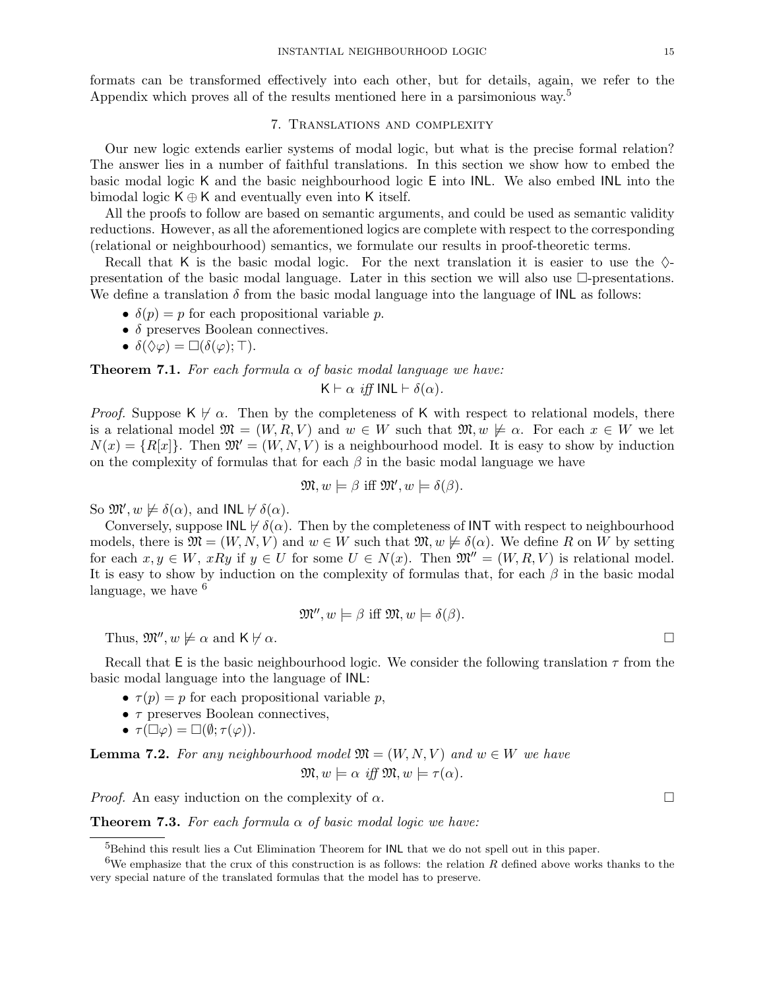formats can be transformed effectively into each other, but for details, again, we refer to the Appendix which proves all of the results mentioned here in a parsimonious way.<sup>5</sup>

## 7. Translations and complexity

Our new logic extends earlier systems of modal logic, but what is the precise formal relation? The answer lies in a number of faithful translations. In this section we show how to embed the basic modal logic K and the basic neighbourhood logic E into INL. We also embed INL into the bimodal logic  $K \oplus K$  and eventually even into K itself.

All the proofs to follow are based on semantic arguments, and could be used as semantic validity reductions. However, as all the aforementioned logics are complete with respect to the corresponding (relational or neighbourhood) semantics, we formulate our results in proof-theoretic terms.

Recall that K is the basic modal logic. For the next translation it is easier to use the  $\Diamond$ presentation of the basic modal language. Later in this section we will also use  $\Box$ -presentations. We define a translation  $\delta$  from the basic modal language into the language of INL as follows:

- $\delta(p) = p$  for each propositional variable p.
- $\bullet$   $\delta$  preserves Boolean connectives.
- $\delta(\Diamond \varphi) = \Box(\delta(\varphi); \top).$

**Theorem 7.1.** For each formula  $\alpha$  of basic modal language we have:

 $\mathsf{K} \vdash \alpha$  iff  $\mathsf{INL} \vdash \delta(\alpha)$ .

*Proof.* Suppose  $K \nvdash \alpha$ . Then by the completeness of K with respect to relational models, there is a relational model  $\mathfrak{M} = (W, R, V)$  and  $w \in W$  such that  $\mathfrak{M}, w \not\models \alpha$ . For each  $x \in W$  we let  $N(x) = \{R[x]\}\$ . Then  $\mathfrak{M} = (W, N, V)$  is a neighbourhood model. It is easy to show by induction on the complexity of formulas that for each  $\beta$  in the basic modal language we have

$$
\mathfrak{M}, w \models \beta \text{ iff } \mathfrak{M}', w \models \delta(\beta).
$$

So  $\mathfrak{M}', w \not\models \delta(\alpha)$ , and INL  $\nvdash \delta(\alpha)$ .

Conversely, suppose  $INL \nvDash \delta(\alpha)$ . Then by the completeness of INT with respect to neighbourhood models, there is  $\mathfrak{M} = (W, N, V)$  and  $w \in W$  such that  $\mathfrak{M}, w \not\models \delta(\alpha)$ . We define R on W by setting for each  $x, y \in W$ ,  $xRy$  if  $y \in U$  for some  $U \in N(x)$ . Then  $\mathfrak{M}'' = (W, R, V)$  is relational model. It is easy to show by induction on the complexity of formulas that, for each  $\beta$  in the basic modal language, we have  $6$ 

$$
\mathfrak{M}''
$$
,  $w \models \beta$  iff  $\mathfrak{M}, w \models \delta(\beta)$ .

Thus,  $\mathfrak{M}''$ ,  $w \not\models \alpha$  and  $\mathsf{K} \not\models \alpha$ .

Recall that E is the basic neighbourhood logic. We consider the following translation  $\tau$  from the basic modal language into the language of INL:

- $\tau(p) = p$  for each propositional variable p,
- $\bullet$   $\tau$  preserves Boolean connectives,
- $\tau(\Box \varphi) = \Box(\emptyset; \tau(\varphi)).$

**Lemma 7.2.** For any neighbourhood model  $\mathfrak{M} = (W, N, V)$  and  $w \in W$  we have  $\mathfrak{M}, w \models \alpha \text{ iff } \mathfrak{M}, w \models \tau(\alpha).$ 

*Proof.* An easy induction on the complexity of  $\alpha$ .

**Theorem 7.3.** For each formula  $\alpha$  of basic modal logic we have:

<sup>&</sup>lt;sup>5</sup>Behind this result lies a Cut Elimination Theorem for **INL** that we do not spell out in this paper.

<sup>&</sup>lt;sup>6</sup>We emphasize that the crux of this construction is as follows: the relation R defined above works thanks to the very special nature of the translated formulas that the model has to preserve.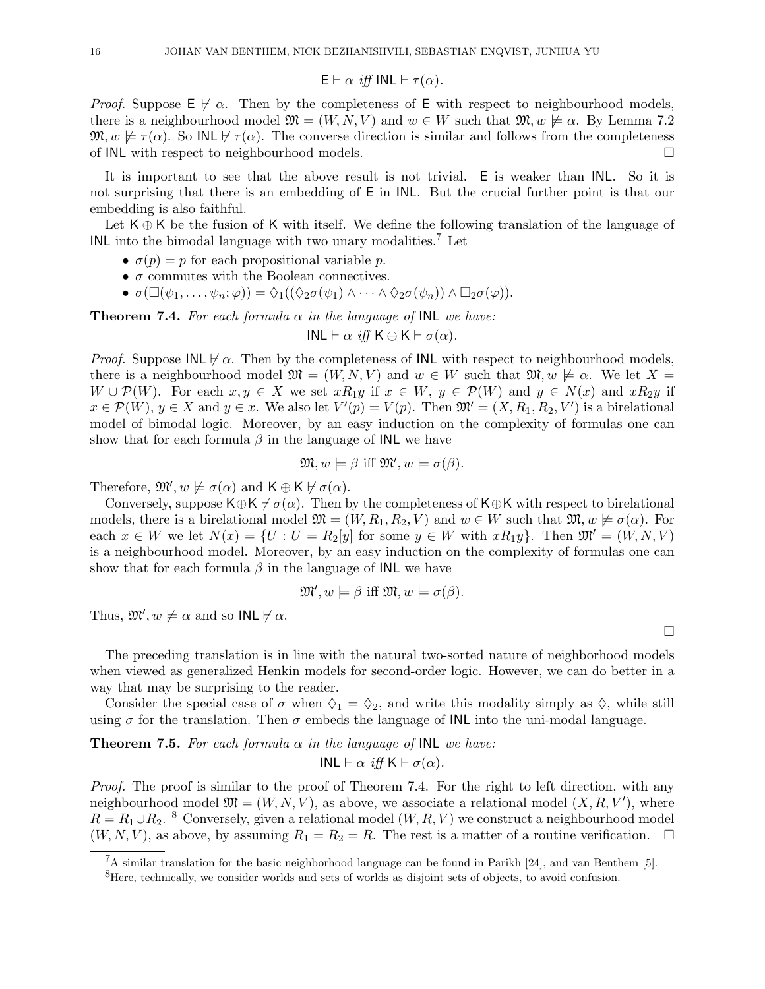$$
\mathsf{E}\vdash \alpha \text{ iff INL}\vdash \tau(\alpha).
$$

*Proof.* Suppose  $E \not\vdash \alpha$ . Then by the completeness of E with respect to neighbourhood models, there is a neighbourhood model  $\mathfrak{M} = (W, N, V)$  and  $w \in W$  such that  $\mathfrak{M}, w \not\models \alpha$ . By Lemma 7.2  $\mathfrak{M}, w \not\models \tau(\alpha)$ . So INL  $\nvdash \tau(\alpha)$ . The converse direction is similar and follows from the completeness of INL with respect to neighbourhood models.

It is important to see that the above result is not trivial. E is weaker than INL. So it is not surprising that there is an embedding of E in INL. But the crucial further point is that our embedding is also faithful.

Let  $K \oplus K$  be the fusion of K with itself. We define the following translation of the language of INL into the bimodal language with two unary modalities.<sup>7</sup> Let

- $\sigma(p) = p$  for each propositional variable p.
- $\bullet$   $\sigma$  commutes with the Boolean connectives.
- $\sigma(\Box(\psi_1,\ldots,\psi_n;\varphi)) = \Diamond_1((\Diamond_2 \sigma(\psi_1) \land \cdots \land \Diamond_2 \sigma(\psi_n)) \land \Box_2 \sigma(\varphi)).$

**Theorem 7.4.** For each formula  $\alpha$  in the language of INL we have:

$$
INL \vdash \alpha \text{ iff } K \oplus K \vdash \sigma(\alpha).
$$

*Proof.* Suppose INL  $\nvdash \alpha$ . Then by the completeness of INL with respect to neighbourhood models, there is a neighbourhood model  $\mathfrak{M} = (W, N, V)$  and  $w \in W$  such that  $\mathfrak{M}, w \not\models \alpha$ . We let  $X =$  $W \cup \mathcal{P}(W)$ . For each  $x, y \in X$  we set  $xR_1y$  if  $x \in W$ ,  $y \in \mathcal{P}(W)$  and  $y \in N(x)$  and  $xR_2y$  if  $x \in \mathcal{P}(W)$ ,  $y \in X$  and  $y \in x$ . We also let  $V'(p) = V(p)$ . Then  $\mathfrak{M}' = (X, R_1, R_2, V')$  is a birelational model of bimodal logic. Moreover, by an easy induction on the complexity of formulas one can show that for each formula  $\beta$  in the language of INL we have

$$
\mathfrak{M}, w \models \beta \text{ iff } \mathfrak{M}', w \models \sigma(\beta).
$$

Therefore,  $\mathfrak{M}', w \not\models \sigma(\alpha)$  and  $\mathsf{K} \oplus \mathsf{K} \not\models \sigma(\alpha)$ .

Conversely, suppose K⊕K  $\nvdash \sigma(\alpha)$ . Then by the completeness of K⊕K with respect to birelational models, there is a birelational model  $\mathfrak{M} = (W, R_1, R_2, V)$  and  $w \in W$  such that  $\mathfrak{M}, w \not\models \sigma(\alpha)$ . For each  $x \in W$  we let  $N(x) = \{U : U = R_2[y]$  for some  $y \in W$  with  $xR_1y\}$ . Then  $\mathfrak{M}' = (W, N, V)$ is a neighbourhood model. Moreover, by an easy induction on the complexity of formulas one can show that for each formula  $\beta$  in the language of INL we have

$$
\mathfrak{M}', w \models \beta \text{ iff } \mathfrak{M}, w \models \sigma(\beta).
$$

Thus,  $\mathfrak{M}', w \not\models \alpha$  and so INL  $\nvdash \alpha$ .

The preceding translation is in line with the natural two-sorted nature of neighborhood models when viewed as generalized Henkin models for second-order logic. However, we can do better in a way that may be surprising to the reader.

Consider the special case of  $\sigma$  when  $\Diamond_1 = \Diamond_2$ , and write this modality simply as  $\Diamond$ , while still using  $\sigma$  for the translation. Then  $\sigma$  embeds the language of INL into the uni-modal language.

**Theorem 7.5.** For each formula  $\alpha$  in the language of INL we have:

$$
INL \vdash \alpha \text{ iff } K \vdash \sigma(\alpha).
$$

Proof. The proof is similar to the proof of Theorem 7.4. For the right to left direction, with any neighbourhood model  $\mathfrak{M} = (W, N, V)$ , as above, we associate a relational model  $(X, R, V')$ , where  $R = R_1 \cup R_2$ . <sup>8</sup> Conversely, given a relational model  $(W, R, V)$  we construct a neighbourhood model  $(W, N, V)$ , as above, by assuming  $R_1 = R_2 = R$ . The rest is a matter of a routine verification.  $\Box$ 

 $\Box$ 

<sup>7</sup>A similar translation for the basic neighborhood language can be found in Parikh [24], and van Benthem [5].

<sup>&</sup>lt;sup>8</sup>Here, technically, we consider worlds and sets of worlds as disjoint sets of objects, to avoid confusion.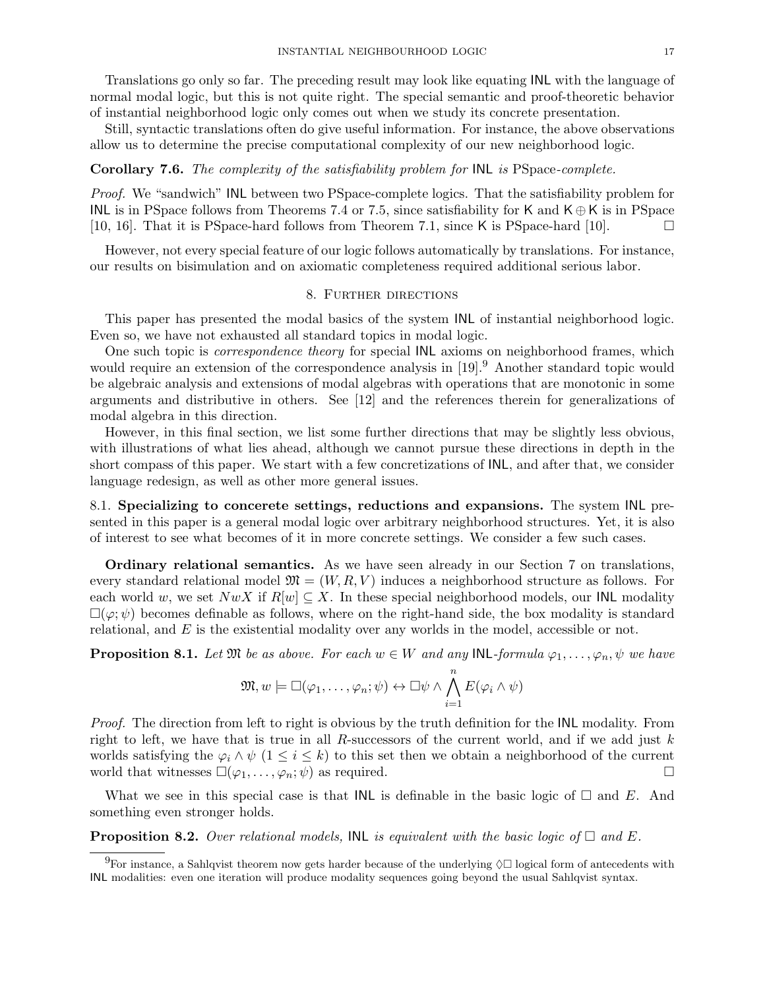Translations go only so far. The preceding result may look like equating INL with the language of normal modal logic, but this is not quite right. The special semantic and proof-theoretic behavior of instantial neighborhood logic only comes out when we study its concrete presentation.

Still, syntactic translations often do give useful information. For instance, the above observations allow us to determine the precise computational complexity of our new neighborhood logic.

## Corollary 7.6. The complexity of the satisfiability problem for  $INL$  is PSpace-complete.

Proof. We "sandwich" INL between two PSpace-complete logics. That the satisfiability problem for INL is in PSpace follows from Theorems 7.4 or 7.5, since satisfiability for K and  $K \oplus K$  is in PSpace [10, 16]. That it is PSpace-hard follows from Theorem 7.1, since K is PSpace-hard [10].  $\Box$ 

However, not every special feature of our logic follows automatically by translations. For instance, our results on bisimulation and on axiomatic completeness required additional serious labor.

## 8. Further directions

This paper has presented the modal basics of the system INL of instantial neighborhood logic. Even so, we have not exhausted all standard topics in modal logic.

One such topic is correspondence theory for special INL axioms on neighborhood frames, which would require an extension of the correspondence analysis in [19]. Another standard topic would be algebraic analysis and extensions of modal algebras with operations that are monotonic in some arguments and distributive in others. See [12] and the references therein for generalizations of modal algebra in this direction.

However, in this final section, we list some further directions that may be slightly less obvious, with illustrations of what lies ahead, although we cannot pursue these directions in depth in the short compass of this paper. We start with a few concretizations of INL, and after that, we consider language redesign, as well as other more general issues.

8.1. Specializing to concerete settings, reductions and expansions. The system INL presented in this paper is a general modal logic over arbitrary neighborhood structures. Yet, it is also of interest to see what becomes of it in more concrete settings. We consider a few such cases.

Ordinary relational semantics. As we have seen already in our Section 7 on translations, every standard relational model  $\mathfrak{M} = (W, R, V)$  induces a neighborhood structure as follows. For each world w, we set  $NwX$  if  $R[w] \subseteq X$ . In these special neighborhood models, our INL modality  $\square(\varphi;\psi)$  becomes definable as follows, where on the right-hand side, the box modality is standard relational, and  $E$  is the existential modality over any worlds in the model, accessible or not.

**Proposition 8.1.** Let  $\mathfrak{M}$  be as above. For each  $w \in W$  and any INL-formula  $\varphi_1, \ldots, \varphi_n, \psi$  we have

$$
\mathfrak{M}, w \models \Box(\varphi_1, \ldots, \varphi_n; \psi) \leftrightarrow \Box \psi \land \bigwedge_{i=1}^n E(\varphi_i \land \psi)
$$

Proof. The direction from left to right is obvious by the truth definition for the INL modality. From right to left, we have that is true in all R-successors of the current world, and if we add just  $k$ worlds satisfying the  $\varphi_i \wedge \psi$  (1 ≤ i ≤ k) to this set then we obtain a neighborhood of the current world that witnesses  $\square(\varphi_1,\ldots,\varphi_n;\psi)$  as required.  $\square$ 

What we see in this special case is that INL is definable in the basic logic of  $\Box$  and E. And something even stronger holds.

**Proposition 8.2.** Over relational models, INL is equivalent with the basic logic of  $\Box$  and E.

<sup>&</sup>lt;sup>9</sup>For instance, a Sahlqvist theorem now gets harder because of the underlying  $\Diamond \Box$  logical form of antecedents with INL modalities: even one iteration will produce modality sequences going beyond the usual Sahlqvist syntax.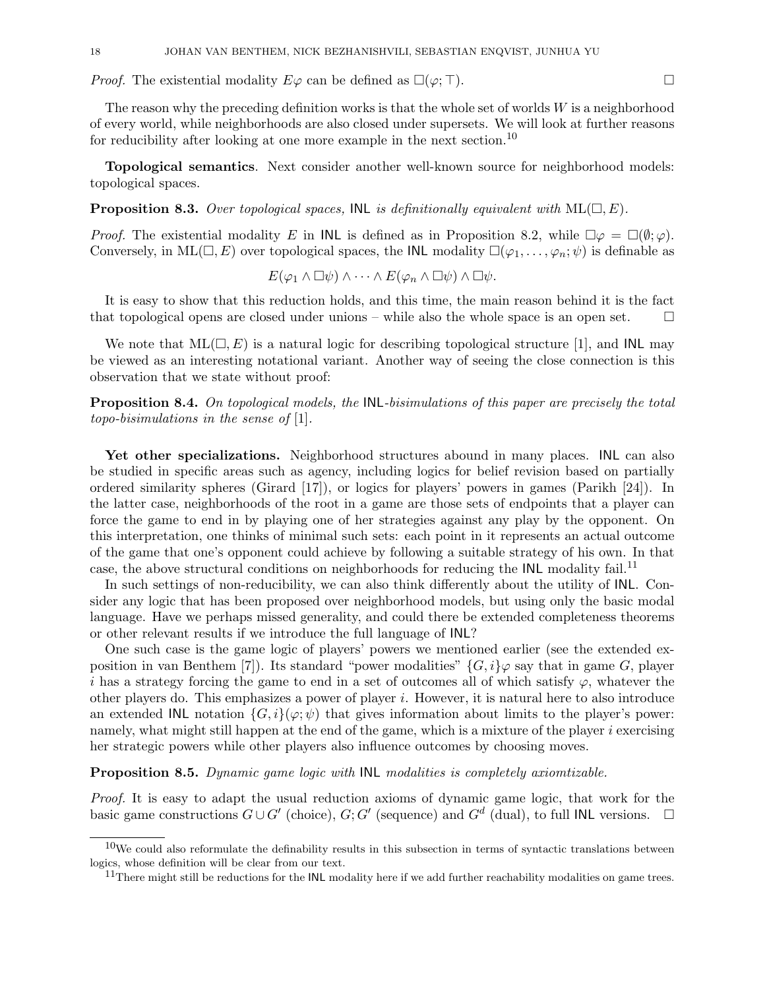*Proof.* The existential modality  $E\varphi$  can be defined as  $\square(\varphi; \top)$ .

The reason why the preceding definition works is that the whole set of worlds W is a neighborhood of every world, while neighborhoods are also closed under supersets. We will look at further reasons for reducibility after looking at one more example in the next section.<sup>10</sup>

Topological semantics. Next consider another well-known source for neighborhood models: topological spaces.

**Proposition 8.3.** Over topological spaces, INL is definitionally equivalent with  $ML(\square, E)$ .

*Proof.* The existential modality E in **INL** is defined as in Proposition 8.2, while  $\Box \varphi = \Box (\emptyset; \varphi)$ . Conversely, in ML( $\Box, E$ ) over topological spaces, the INL modality  $\Box(\varphi_1, \ldots, \varphi_n; \psi)$  is definable as

$$
E(\varphi_1 \wedge \Box \psi) \wedge \cdots \wedge E(\varphi_n \wedge \Box \psi) \wedge \Box \psi.
$$

It is easy to show that this reduction holds, and this time, the main reason behind it is the fact that topological opens are closed under unions – while also the whole space is an open set.  $\Box$ 

We note that  $ML(\square, E)$  is a natural logic for describing topological structure [1], and INL may be viewed as an interesting notational variant. Another way of seeing the close connection is this observation that we state without proof:

**Proposition 8.4.** On topological models, the INL-bisimulations of this paper are precisely the total topo-bisimulations in the sense of [1].

Yet other specializations. Neighborhood structures abound in many places. INL can also be studied in specific areas such as agency, including logics for belief revision based on partially ordered similarity spheres (Girard [17]), or logics for players' powers in games (Parikh [24]). In the latter case, neighborhoods of the root in a game are those sets of endpoints that a player can force the game to end in by playing one of her strategies against any play by the opponent. On this interpretation, one thinks of minimal such sets: each point in it represents an actual outcome of the game that one's opponent could achieve by following a suitable strategy of his own. In that case, the above structural conditions on neighborhoods for reducing the INL modality fail.<sup>11</sup>

In such settings of non-reducibility, we can also think differently about the utility of INL. Consider any logic that has been proposed over neighborhood models, but using only the basic modal language. Have we perhaps missed generality, and could there be extended completeness theorems or other relevant results if we introduce the full language of INL?

One such case is the game logic of players' powers we mentioned earlier (see the extended exposition in van Benthem [7]). Its standard "power modalities"  $\{G, i\} \varphi$  say that in game G, player i has a strategy forcing the game to end in a set of outcomes all of which satisfy  $\varphi$ , whatever the other players do. This emphasizes a power of player i. However, it is natural here to also introduce an extended INL notation  $\{G, i\}(\varphi; \psi)$  that gives information about limits to the player's power: namely, what might still happen at the end of the game, which is a mixture of the player  $i$  exercising her strategic powers while other players also influence outcomes by choosing moves.

Proposition 8.5. Dynamic game logic with INL modalities is completely axiomtizable.

Proof. It is easy to adapt the usual reduction axioms of dynamic game logic, that work for the basic game constructions  $G \cup G'$  (choice),  $G$ ;  $G'$  (sequence) and  $G^d$  (dual), to full INL versions.  $\Box$ 

 $10$ We could also reformulate the definability results in this subsection in terms of syntactic translations between logics, whose definition will be clear from our text.

<sup>&</sup>lt;sup>11</sup>There might still be reductions for the INL modality here if we add further reachability modalities on game trees.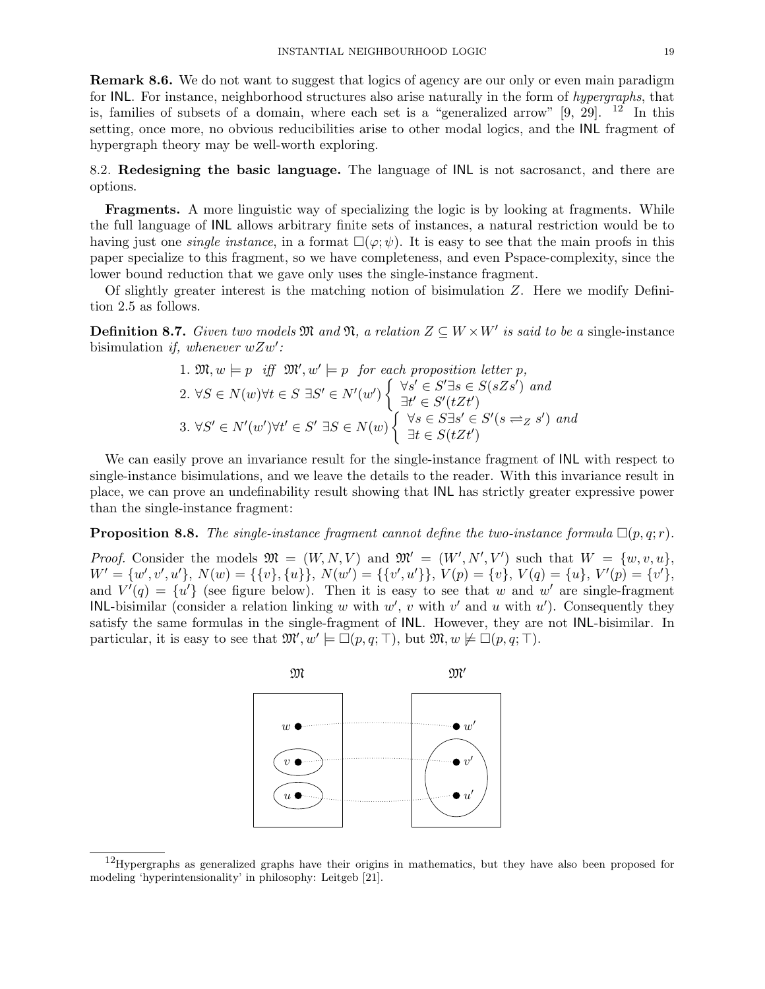Remark 8.6. We do not want to suggest that logics of agency are our only or even main paradigm for INL. For instance, neighborhood structures also arise naturally in the form of hypergraphs, that is, families of subsets of a domain, where each set is a "generalized arrow"  $[9, 29]$ . <sup>12</sup> In this setting, once more, no obvious reducibilities arise to other modal logics, and the INL fragment of hypergraph theory may be well-worth exploring.

8.2. Redesigning the basic language. The language of INL is not sacrosanct, and there are options.

Fragments. A more linguistic way of specializing the logic is by looking at fragments. While the full language of INL allows arbitrary finite sets of instances, a natural restriction would be to having just one *single instance*, in a format  $\square(\varphi;\psi)$ . It is easy to see that the main proofs in this paper specialize to this fragment, so we have completeness, and even Pspace-complexity, since the lower bound reduction that we gave only uses the single-instance fragment.

Of slightly greater interest is the matching notion of bisimulation Z. Here we modify Definition 2.5 as follows.

**Definition 8.7.** Given two models  $\mathfrak{M}$  and  $\mathfrak{N}$ , a relation  $Z \subseteq W \times W'$  is said to be a single-instance bisimulation if, whenever  $wZw'$ :

1. 
$$
\mathfrak{M}, w \models p
$$
 iff  $\mathfrak{M}', w' \models p$  for each proposition letter p,  
\n2.  $\forall S \in N(w) \forall t \in S \exists S' \in N'(w') \begin{cases} \forall s' \in S' \exists s \in S(sZs') \text{ and} \\ \exists t' \in S'(tZt') \end{cases}$   
\n3.  $\forall S' \in N'(w') \forall t' \in S' \exists S \in N(w) \begin{cases} \forall s \in S \exists s' \in S'(s \rightleftharpoons s') \text{ and} \\ \exists t \in S(tZt') \end{cases}$ 

We can easily prove an invariance result for the single-instance fragment of INL with respect to single-instance bisimulations, and we leave the details to the reader. With this invariance result in place, we can prove an undefinability result showing that INL has strictly greater expressive power than the single-instance fragment:

**Proposition 8.8.** The single-instance fragment cannot define the two-instance formula  $\Box(p, q; r)$ .

*Proof.* Consider the models  $\mathfrak{M} = (W, N, V)$  and  $\mathfrak{M}' = (W', N', V')$  such that  $W = \{w, v, u\}$ ,  $W' = \{w', v', u'\}, N(w) = \{\{v\}, \{u\}\}, N(w') = \{\{v', u'\}\}, V(p) = \{v\}, V(q) = \{u\}, V'(p) = \{v'\},$ and  $V'(q) = \{u'\}$  (see figure below). Then it is easy to see that w and w' are single-fragment INL-bisimilar (consider a relation linking w with  $w'$ , v with  $v'$  and u with  $u'$ ). Consequently they satisfy the same formulas in the single-fragment of INL. However, they are not INL-bisimilar. In particular, it is easy to see that  $\mathfrak{M}', w' \models \Box(p, q; \top)$ , but  $\mathfrak{M}, w \not\models \Box(p, q; \top)$ .



<sup>&</sup>lt;sup>12</sup>Hypergraphs as generalized graphs have their origins in mathematics, but they have also been proposed for modeling 'hyperintensionality' in philosophy: Leitgeb [21].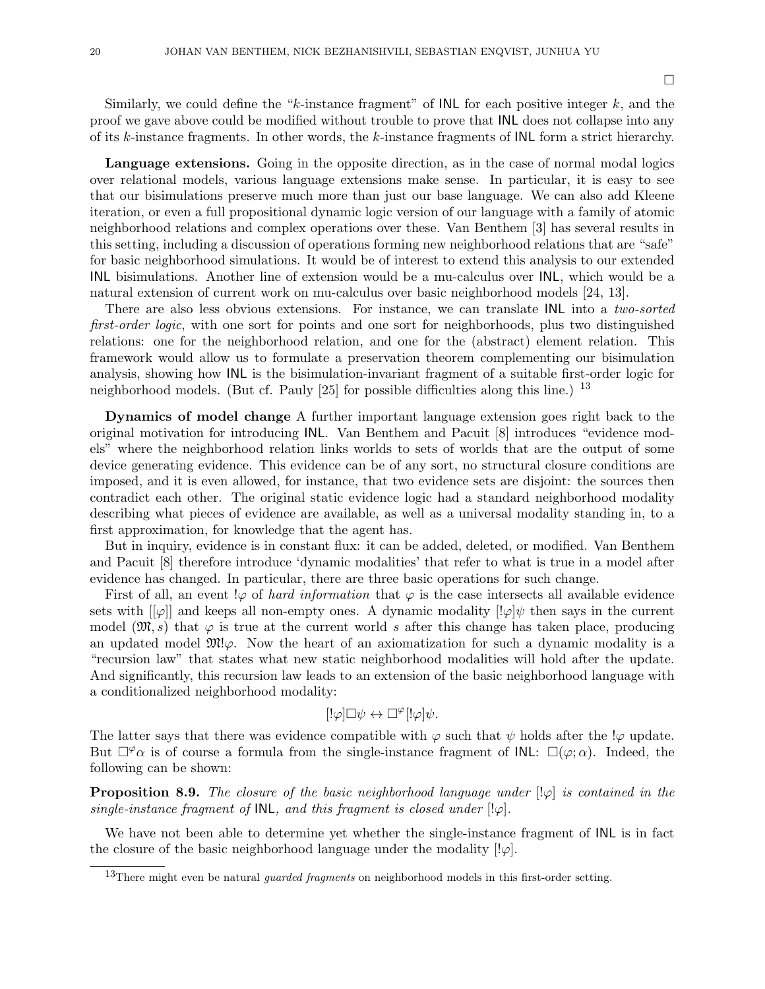Similarly, we could define the "k-instance fragment" of  $\textsf{INL}$  for each positive integer k, and the proof we gave above could be modified without trouble to prove that INL does not collapse into any of its k-instance fragments. In other words, the k-instance fragments of INL form a strict hierarchy.

Language extensions. Going in the opposite direction, as in the case of normal modal logics over relational models, various language extensions make sense. In particular, it is easy to see that our bisimulations preserve much more than just our base language. We can also add Kleene iteration, or even a full propositional dynamic logic version of our language with a family of atomic neighborhood relations and complex operations over these. Van Benthem [3] has several results in this setting, including a discussion of operations forming new neighborhood relations that are "safe" for basic neighborhood simulations. It would be of interest to extend this analysis to our extended INL bisimulations. Another line of extension would be a mu-calculus over INL, which would be a natural extension of current work on mu-calculus over basic neighborhood models [24, 13].

There are also less obvious extensions. For instance, we can translate INL into a two-sorted first-order logic, with one sort for points and one sort for neighborhoods, plus two distinguished relations: one for the neighborhood relation, and one for the (abstract) element relation. This framework would allow us to formulate a preservation theorem complementing our bisimulation analysis, showing how INL is the bisimulation-invariant fragment of a suitable first-order logic for neighborhood models. (But cf. Pauly  $[25]$  for possible difficulties along this line.) <sup>13</sup>

Dynamics of model change A further important language extension goes right back to the original motivation for introducing INL. Van Benthem and Pacuit [8] introduces "evidence models" where the neighborhood relation links worlds to sets of worlds that are the output of some device generating evidence. This evidence can be of any sort, no structural closure conditions are imposed, and it is even allowed, for instance, that two evidence sets are disjoint: the sources then contradict each other. The original static evidence logic had a standard neighborhood modality describing what pieces of evidence are available, as well as a universal modality standing in, to a first approximation, for knowledge that the agent has.

But in inquiry, evidence is in constant flux: it can be added, deleted, or modified. Van Benthem and Pacuit [8] therefore introduce 'dynamic modalities' that refer to what is true in a model after evidence has changed. In particular, there are three basic operations for such change.

First of all, an event  $\varphi$  of hard information that  $\varphi$  is the case intersects all available evidence sets with  $[\varphi]$  and keeps all non-empty ones. A dynamic modality  $[\varphi]\psi$  then says in the current model  $(\mathfrak{M}, s)$  that  $\varphi$  is true at the current world s after this change has taken place, producing an updated model  $\mathfrak{M}\psi$ . Now the heart of an axiomatization for such a dynamic modality is a "recursion law" that states what new static neighborhood modalities will hold after the update. And significantly, this recursion law leads to an extension of the basic neighborhood language with a conditionalized neighborhood modality:

$$
[!\varphi]\Box\psi\leftrightarrow\Box^{\varphi}[!\varphi]\psi.
$$

The latter says that there was evidence compatible with  $\varphi$  such that  $\psi$  holds after the ! $\varphi$  update. But  $\Box^{\varphi}\alpha$  is of course a formula from the single-instance fragment of INL:  $\Box(\varphi;\alpha)$ . Indeed, the following can be shown:

**Proposition 8.9.** The closure of the basic neighborhood language under  $\lbrack \cdot \varphi \rbrack$  is contained in the single-instance fragment of  $INL$ , and this fragment is closed under  $[!\varphi]$ .

We have not been able to determine yet whether the single-instance fragment of  $INL$  is in fact the closure of the basic neighborhood language under the modality  $[! \varphi]$ .

<sup>&</sup>lt;sup>13</sup>There might even be natural *quarded fragments* on neighborhood models in this first-order setting.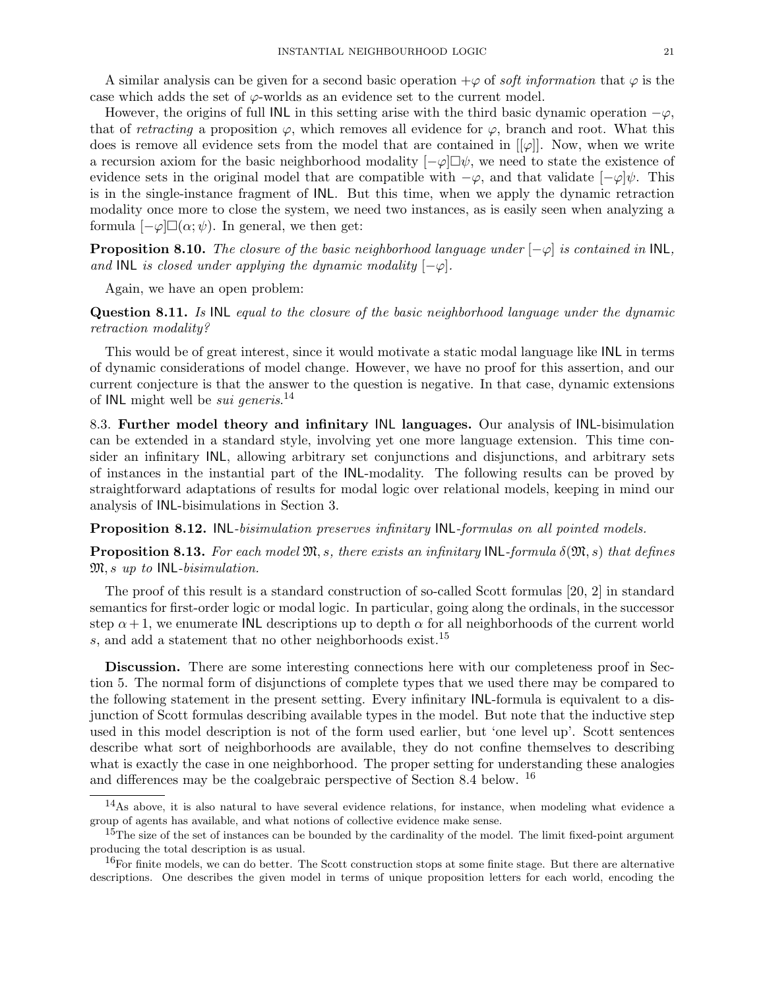A similar analysis can be given for a second basic operation  $+\varphi$  of *soft information* that  $\varphi$  is the case which adds the set of  $\varphi$ -worlds as an evidence set to the current model.

However, the origins of full INL in this setting arise with the third basic dynamic operation  $-\varphi$ , that of retracting a proposition  $\varphi$ , which removes all evidence for  $\varphi$ , branch and root. What this does is remove all evidence sets from the model that are contained in  $[[\varphi]]$ . Now, when we write a recursion axiom for the basic neighborhood modality  $[-\varphi]\Box\psi$ , we need to state the existence of evidence sets in the original model that are compatible with  $-\varphi$ , and that validate  $[-\varphi]\psi$ . This is in the single-instance fragment of INL. But this time, when we apply the dynamic retraction modality once more to close the system, we need two instances, as is easily seen when analyzing a formula  $[-\varphi]\Box(\alpha;\psi)$ . In general, we then get:

**Proposition 8.10.** The closure of the basic neighborhood language under  $[-\varphi]$  is contained in INL, and INL is closed under applying the dynamic modality  $[-\varphi]$ .

Again, we have an open problem:

Question 8.11. Is INL equal to the closure of the basic neighborhood language under the dynamic retraction modality?

This would be of great interest, since it would motivate a static modal language like INL in terms of dynamic considerations of model change. However, we have no proof for this assertion, and our current conjecture is that the answer to the question is negative. In that case, dynamic extensions of INL might well be *sui generis*.<sup>14</sup>

8.3. Further model theory and infinitary INL languages. Our analysis of INL-bisimulation can be extended in a standard style, involving yet one more language extension. This time consider an infinitary INL, allowing arbitrary set conjunctions and disjunctions, and arbitrary sets of instances in the instantial part of the INL-modality. The following results can be proved by straightforward adaptations of results for modal logic over relational models, keeping in mind our analysis of INL-bisimulations in Section 3.

Proposition 8.12. INL-bisimulation preserves infinitary INL-formulas on all pointed models.

**Proposition 8.13.** For each model  $\mathfrak{M}, s$ , there exists an infinitary INL-formula  $\delta(\mathfrak{M}, s)$  that defines  $\mathfrak{M}, s$  up to INL-bisimulation.

The proof of this result is a standard construction of so-called Scott formulas [20, 2] in standard semantics for first-order logic or modal logic. In particular, going along the ordinals, in the successor step  $\alpha + 1$ , we enumerate INL descriptions up to depth  $\alpha$  for all neighborhoods of the current world s, and add a statement that no other neighborhoods exist.<sup>15</sup>

Discussion. There are some interesting connections here with our completeness proof in Section 5. The normal form of disjunctions of complete types that we used there may be compared to the following statement in the present setting. Every infinitary INL-formula is equivalent to a disjunction of Scott formulas describing available types in the model. But note that the inductive step used in this model description is not of the form used earlier, but 'one level up'. Scott sentences describe what sort of neighborhoods are available, they do not confine themselves to describing what is exactly the case in one neighborhood. The proper setting for understanding these analogies and differences may be the coalgebraic perspective of Section 8.4 below. <sup>16</sup>

<sup>14</sup>As above, it is also natural to have several evidence relations, for instance, when modeling what evidence a group of agents has available, and what notions of collective evidence make sense.

<sup>&</sup>lt;sup>15</sup>The size of the set of instances can be bounded by the cardinality of the model. The limit fixed-point argument producing the total description is as usual.

 $16$ For finite models, we can do better. The Scott construction stops at some finite stage. But there are alternative descriptions. One describes the given model in terms of unique proposition letters for each world, encoding the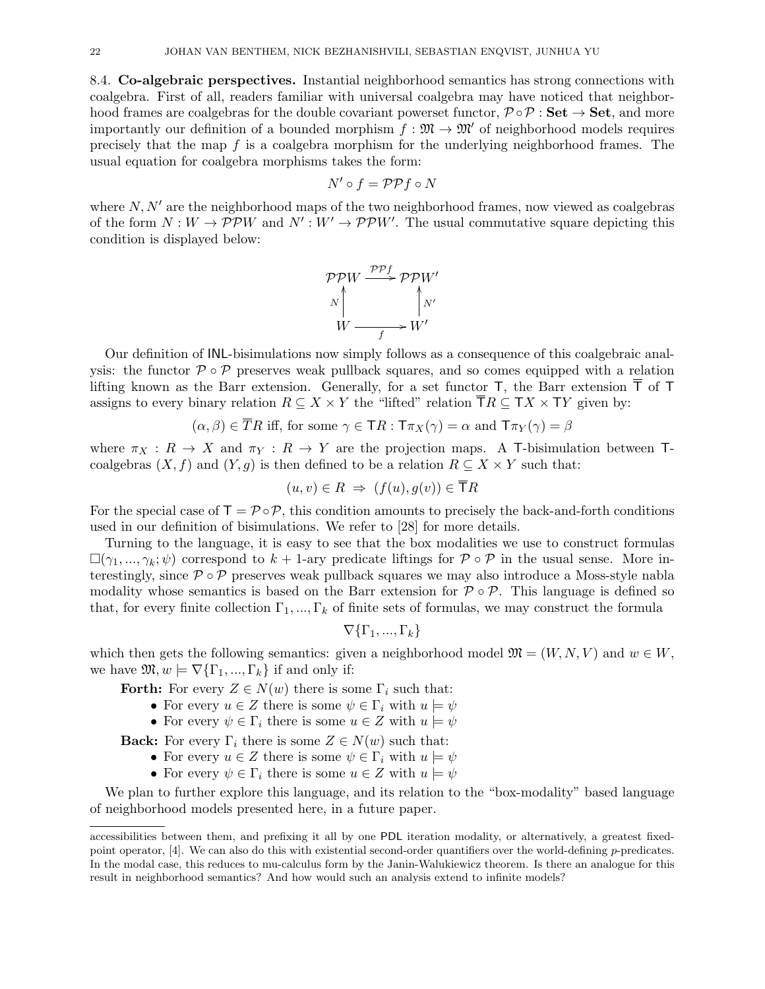8.4. Co-algebraic perspectives. Instantial neighborhood semantics has strong connections with coalgebra. First of all, readers familiar with universal coalgebra may have noticed that neighborhood frames are coalgebras for the double covariant powerset functor,  $\mathcal{P} \circ \mathcal{P} : Set \rightarrow Set$ , and more importantly our definition of a bounded morphism  $f : \mathfrak{M} \to \mathfrak{M}'$  of neighborhood models requires precisely that the map  $f$  is a coalgebra morphism for the underlying neighborhood frames. The usual equation for coalgebra morphisms takes the form:

$$
N' \circ f = \mathcal{PP} f \circ N
$$

where  $N, N'$  are the neighborhood maps of the two neighborhood frames, now viewed as coalgebras of the form  $N: W \to \mathcal{PP}W$  and  $N': W' \to \mathcal{PP}W'$ . The usual commutative square depicting this condition is displayed below:



Our definition of INL-bisimulations now simply follows as a consequence of this coalgebraic analysis: the functor  $\mathcal{P} \circ \mathcal{P}$  preserves weak pullback squares, and so comes equipped with a relation lifting known as the Barr extension. Generally, for a set functor  $\mathsf{T}$ , the Barr extension  $\mathsf{\overline{T}}$  of  $\mathsf{T}$ assigns to every binary relation  $R \subseteq X \times Y$  the "lifted" relation  $TR \subseteq TX \times TY$  given by:

$$
(\alpha, \beta) \in TR
$$
 iff, for some  $\gamma \in TR : T\pi_X(\gamma) = \alpha$  and  $T\pi_Y(\gamma) = \beta$ 

where  $\pi_X : R \to X$  and  $\pi_Y : R \to Y$  are the projection maps. A T-bisimulation between Tcoalgebras  $(X, f)$  and  $(Y, g)$  is then defined to be a relation  $R \subseteq X \times Y$  such that:

$$
(u, v) \in R \implies (f(u), g(v)) \in \mathsf{T}R
$$

For the special case of  $\mathsf{T} = \mathcal{P} \circ \mathcal{P}$ , this condition amounts to precisely the back-and-forth conditions used in our definition of bisimulations. We refer to [28] for more details.

Turning to the language, it is easy to see that the box modalities we use to construct formulas  $\square(\gamma_1, \ldots, \gamma_k; \psi)$  correspond to  $k + 1$ -ary predicate liftings for  $\mathcal{P} \circ \mathcal{P}$  in the usual sense. More interestingly, since  $P \circ P$  preserves weak pullback squares we may also introduce a Moss-style nabla modality whose semantics is based on the Barr extension for  $\mathcal{P} \circ \mathcal{P}$ . This language is defined so that, for every finite collection  $\Gamma_1, ..., \Gamma_k$  of finite sets of formulas, we may construct the formula

$$
\nabla {\{\Gamma_1,...,\Gamma_k\}}
$$

which then gets the following semantics: given a neighborhood model  $\mathfrak{M} = (W, N, V)$  and  $w \in W$ , we have  $\mathfrak{M}, w \models \nabla {\{\Gamma_1, ..., \Gamma_k\}}$  if and only if:

Forth: For every  $Z \in N(w)$  there is some  $\Gamma_i$  such that:

- For every  $u \in Z$  there is some  $\psi \in \Gamma_i$  with  $u \models \psi$
- For every  $\psi \in \Gamma_i$  there is some  $u \in Z$  with  $u \models \psi$

**Back:** For every  $\Gamma_i$  there is some  $Z \in N(w)$  such that:

- For every  $u \in Z$  there is some  $\psi \in \Gamma_i$  with  $u \models \psi$
- For every  $\psi \in \Gamma_i$  there is some  $u \in Z$  with  $u \models \psi$

We plan to further explore this language, and its relation to the "box-modality" based language of neighborhood models presented here, in a future paper.

accessibilities between them, and prefixing it all by one PDL iteration modality, or alternatively, a greatest fixedpoint operator, [4]. We can also do this with existential second-order quantifiers over the world-defining p-predicates. In the modal case, this reduces to mu-calculus form by the Janin-Walukiewicz theorem. Is there an analogue for this result in neighborhood semantics? And how would such an analysis extend to infinite models?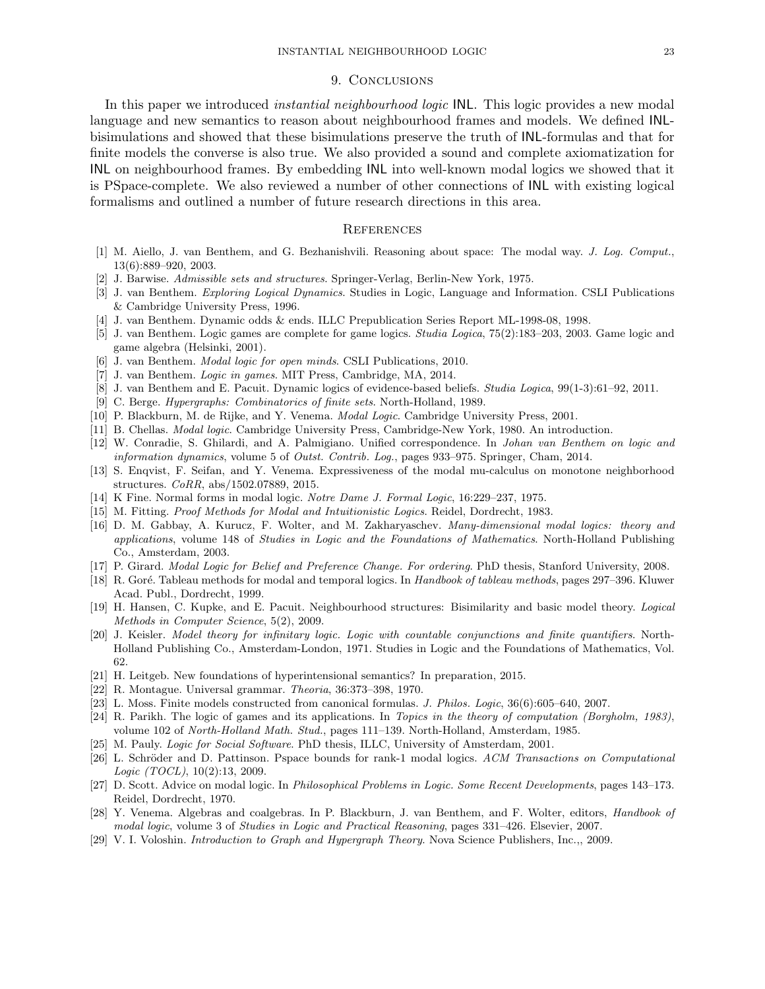# 9. Conclusions

In this paper we introduced *instantial neighbourhood logic* INL. This logic provides a new modal language and new semantics to reason about neighbourhood frames and models. We defined INLbisimulations and showed that these bisimulations preserve the truth of INL-formulas and that for finite models the converse is also true. We also provided a sound and complete axiomatization for INL on neighbourhood frames. By embedding INL into well-known modal logics we showed that it is PSpace-complete. We also reviewed a number of other connections of INL with existing logical formalisms and outlined a number of future research directions in this area.

#### **REFERENCES**

- [1] M. Aiello, J. van Benthem, and G. Bezhanishvili. Reasoning about space: The modal way. J. Log. Comput., 13(6):889–920, 2003.
- [2] J. Barwise. Admissible sets and structures. Springer-Verlag, Berlin-New York, 1975.
- [3] J. van Benthem. Exploring Logical Dynamics. Studies in Logic, Language and Information. CSLI Publications & Cambridge University Press, 1996.
- [4] J. van Benthem. Dynamic odds & ends. ILLC Prepublication Series Report ML-1998-08, 1998.
- [5] J. van Benthem. Logic games are complete for game logics. Studia Logica, 75(2):183–203, 2003. Game logic and game algebra (Helsinki, 2001).
- [6] J. van Benthem. Modal logic for open minds. CSLI Publications, 2010.
- [7] J. van Benthem. Logic in games. MIT Press, Cambridge, MA, 2014.
- [8] J. van Benthem and E. Pacuit. Dynamic logics of evidence-based beliefs. Studia Logica, 99(1-3):61–92, 2011.
- [9] C. Berge. Hypergraphs: Combinatorics of finite sets. North-Holland, 1989.
- [10] P. Blackburn, M. de Rijke, and Y. Venema. Modal Logic. Cambridge University Press, 2001.
- [11] B. Chellas. Modal logic. Cambridge University Press, Cambridge-New York, 1980. An introduction.
- [12] W. Conradie, S. Ghilardi, and A. Palmigiano. Unified correspondence. In Johan van Benthem on logic and information dynamics, volume 5 of Outst. Contrib. Log., pages 933–975. Springer, Cham, 2014.
- [13] S. Enqvist, F. Seifan, and Y. Venema. Expressiveness of the modal mu-calculus on monotone neighborhood structures. CoRR, abs/1502.07889, 2015.
- [14] K Fine. Normal forms in modal logic. Notre Dame J. Formal Logic, 16:229–237, 1975.
- [15] M. Fitting. Proof Methods for Modal and Intuitionistic Logics. Reidel, Dordrecht, 1983.
- [16] D. M. Gabbay, A. Kurucz, F. Wolter, and M. Zakharyaschev. Many-dimensional modal logics: theory and applications, volume 148 of Studies in Logic and the Foundations of Mathematics. North-Holland Publishing Co., Amsterdam, 2003.
- [17] P. Girard. Modal Logic for Belief and Preference Change. For ordering. PhD thesis, Stanford University, 2008.
- [18] R. Goré. Tableau methods for modal and temporal logics. In Handbook of tableau methods, pages 297–396. Kluwer Acad. Publ., Dordrecht, 1999.
- [19] H. Hansen, C. Kupke, and E. Pacuit. Neighbourhood structures: Bisimilarity and basic model theory. Logical Methods in Computer Science, 5(2), 2009.
- [20] J. Keisler. Model theory for infinitary logic. Logic with countable conjunctions and finite quantifiers. North-Holland Publishing Co., Amsterdam-London, 1971. Studies in Logic and the Foundations of Mathematics, Vol. 62.
- [21] H. Leitgeb. New foundations of hyperintensional semantics? In preparation, 2015.
- [22] R. Montague. Universal grammar. Theoria, 36:373–398, 1970.
- [23] L. Moss. Finite models constructed from canonical formulas. J. Philos. Logic, 36(6):605–640, 2007.
- [24] R. Parikh. The logic of games and its applications. In Topics in the theory of computation (Borgholm, 1983), volume 102 of North-Holland Math. Stud., pages 111–139. North-Holland, Amsterdam, 1985.
- [25] M. Pauly. Logic for Social Software. PhD thesis, ILLC, University of Amsterdam, 2001.
- [26] L. Schröder and D. Pattinson. Pspace bounds for rank-1 modal logics. ACM Transactions on Computational Logic (TOCL), 10(2):13, 2009.
- [27] D. Scott. Advice on modal logic. In Philosophical Problems in Logic. Some Recent Developments, pages 143–173. Reidel, Dordrecht, 1970.
- [28] Y. Venema. Algebras and coalgebras. In P. Blackburn, J. van Benthem, and F. Wolter, editors, Handbook of modal logic, volume 3 of Studies in Logic and Practical Reasoning, pages 331–426. Elsevier, 2007.
- [29] V. I. Voloshin. Introduction to Graph and Hypergraph Theory. Nova Science Publishers, Inc.,, 2009.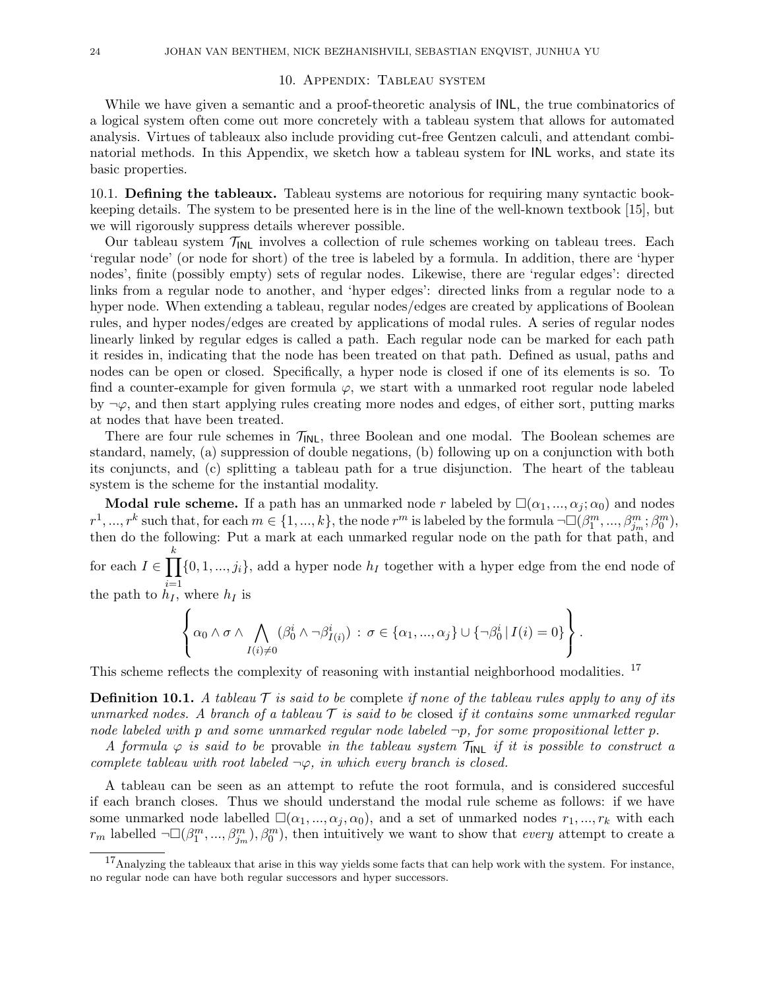### 10. Appendix: Tableau system

While we have given a semantic and a proof-theoretic analysis of INL, the true combinatorics of a logical system often come out more concretely with a tableau system that allows for automated analysis. Virtues of tableaux also include providing cut-free Gentzen calculi, and attendant combinatorial methods. In this Appendix, we sketch how a tableau system for INL works, and state its basic properties.

10.1. Defining the tableaux. Tableau systems are notorious for requiring many syntactic bookkeeping details. The system to be presented here is in the line of the well-known textbook [15], but we will rigorously suppress details wherever possible.

Our tableau system  $\mathcal{T}_{INL}$  involves a collection of rule schemes working on tableau trees. Each 'regular node' (or node for short) of the tree is labeled by a formula. In addition, there are 'hyper nodes', finite (possibly empty) sets of regular nodes. Likewise, there are 'regular edges': directed links from a regular node to another, and 'hyper edges': directed links from a regular node to a hyper node. When extending a tableau, regular nodes/edges are created by applications of Boolean rules, and hyper nodes/edges are created by applications of modal rules. A series of regular nodes linearly linked by regular edges is called a path. Each regular node can be marked for each path it resides in, indicating that the node has been treated on that path. Defined as usual, paths and nodes can be open or closed. Specifically, a hyper node is closed if one of its elements is so. To find a counter-example for given formula  $\varphi$ , we start with a unmarked root regular node labeled by  $\neg \varphi$ , and then start applying rules creating more nodes and edges, of either sort, putting marks at nodes that have been treated.

There are four rule schemes in  $\mathcal{T}_{\mathsf{INL}}$ , three Boolean and one modal. The Boolean schemes are standard, namely, (a) suppression of double negations, (b) following up on a conjunction with both its conjuncts, and (c) splitting a tableau path for a true disjunction. The heart of the tableau system is the scheme for the instantial modality.

**Modal rule scheme.** If a path has an unmarked node r labeled by  $\square(\alpha_1, ..., \alpha_j; \alpha_0)$  and nodes  $r^1, ..., r^k$  such that, for each  $m \in \{1, ..., k\}$ , the node  $r^m$  is labeled by the formula  $\neg\Box(\beta_1^m, ..., \beta_{j_m}^m; \beta_0^m)$ , then do the following: Put a mark at each unmarked regular node on the path for that path, and for each  $I \in \prod$ k  $i=1$  $\{0, 1, ..., j_i\}$ , add a hyper node  $h_I$  together with a hyper edge from the end node of

the path to  $h_I$ , where  $h_I$  is

$$
\left\{\alpha_0\wedge \sigma \wedge \bigwedge_{I(i)\neq 0}(\beta_0^i\wedge \neg \beta_{I(i)}^i): \sigma\in \{\alpha_1,\dots,\alpha_j\}\cup \{\neg \beta_0^i | I(i)=0\}\right\}.
$$

This scheme reflects the complexity of reasoning with instantial neighborhood modalities. <sup>17</sup>

**Definition 10.1.** A tableau  $\mathcal T$  is said to be complete if none of the tableau rules apply to any of its unmarked nodes. A branch of a tableau  $\mathcal T$  is said to be closed if it contains some unmarked regular node labeled with p and some unmarked regular node labeled  $\neg p$ , for some propositional letter p.

A formula  $\varphi$  is said to be provable in the tableau system  $\mathcal{T}_{\text{INL}}$  if it is possible to construct a complete tableau with root labeled  $\neg \varphi$ , in which every branch is closed.

A tableau can be seen as an attempt to refute the root formula, and is considered succesful if each branch closes. Thus we should understand the modal rule scheme as follows: if we have some unmarked node labelled  $\square(\alpha_1, ..., \alpha_j, \alpha_0)$ , and a set of unmarked nodes  $r_1, ..., r_k$  with each  $r_m$  labelled  $\neg\Box(\beta_1^m, ..., \beta_{j_m}^m), \beta_0^m)$ , then intuitively we want to show that *every* attempt to create a

<sup>&</sup>lt;sup>17</sup>Analyzing the tableaux that arise in this way yields some facts that can help work with the system. For instance, no regular node can have both regular successors and hyper successors.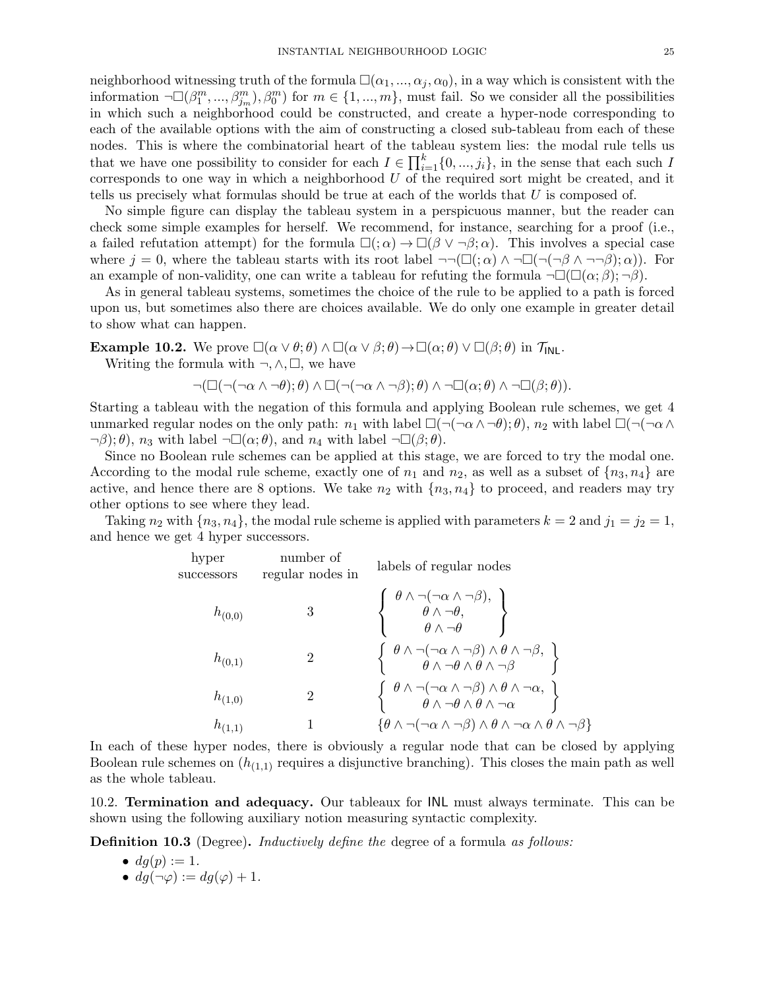neighborhood witnessing truth of the formula  $\square(\alpha_1, ..., \alpha_j, \alpha_0)$ , in a way which is consistent with the information  $\neg\Box(\beta_1^m, ..., \beta_{j_m}^m), \beta_0^m)$  for  $m \in \{1, ..., m\}$ , must fail. So we consider all the possibilities in which such a neighborhood could be constructed, and create a hyper-node corresponding to each of the available options with the aim of constructing a closed sub-tableau from each of these nodes. This is where the combinatorial heart of the tableau system lies: the modal rule tells us that we have one possibility to consider for each  $I \in \prod_{i=1}^{k} \{0, ..., j_i\}$ , in the sense that each such I corresponds to one way in which a neighborhood  $U$  of the required sort might be created, and it tells us precisely what formulas should be true at each of the worlds that U is composed of.

No simple figure can display the tableau system in a perspicuous manner, but the reader can check some simple examples for herself. We recommend, for instance, searching for a proof (i.e., a failed refutation attempt) for the formula  $\square($ ;  $\alpha) \rightarrow \square(\beta \vee \neg \beta; \alpha)$ . This involves a special case where  $j = 0$ , where the tableau starts with its root label  $\neg\neg(\Box(\alpha) \land \neg \Box(\neg(\neg \beta \land \neg \neg \beta); \alpha))$ . For an example of non-validity, one can write a tableau for refuting the formula  $\neg\Box(\Box(\alpha;\beta);\neg\beta)$ .

As in general tableau systems, sometimes the choice of the rule to be applied to a path is forced upon us, but sometimes also there are choices available. We do only one example in greater detail to show what can happen.

**Example 10.2.** We prove  $\square(\alpha \vee \theta; \theta) \wedge \square(\alpha \vee \beta; \theta) \rightarrow \square(\alpha; \theta) \vee \square(\beta; \theta)$  in  $\mathcal{T}_{\mathsf{INL}}$ .

Writing the formula with  $\neg, \wedge, \Box$ , we have

$$
\neg (\Box(\neg(\neg \alpha \wedge \neg \theta); \theta) \wedge \Box(\neg(\neg \alpha \wedge \neg \beta); \theta) \wedge \neg \Box(\alpha; \theta) \wedge \neg \Box(\beta; \theta)).
$$

Starting a tableau with the negation of this formula and applying Boolean rule schemes, we get 4 unmarked regular nodes on the only path:  $n_1$  with label  $\square(\neg(\neg\alpha\wedge\neg\theta),\theta)$ ,  $n_2$  with label  $\square(\neg(\neg\alpha\wedge$  $\neg \beta$ ;  $\theta$ ),  $n_3$  with label  $\neg \Box(\alpha; \theta)$ , and  $n_4$  with label  $\neg \Box(\beta; \theta)$ .

Since no Boolean rule schemes can be applied at this stage, we are forced to try the modal one. According to the modal rule scheme, exactly one of  $n_1$  and  $n_2$ , as well as a subset of  $\{n_3, n_4\}$  are active, and hence there are 8 options. We take  $n_2$  with  $\{n_3, n_4\}$  to proceed, and readers may try other options to see where they lead.

Taking  $n_2$  with  $\{n_3, n_4\}$ , the modal rule scheme is applied with parameters  $k = 2$  and  $j_1 = j_2 = 1$ , and hence we get 4 hyper successors.

| hyper<br>successors | number of<br>regular nodes in | labels of regular nodes                                                                                                                                                                               |
|---------------------|-------------------------------|-------------------------------------------------------------------------------------------------------------------------------------------------------------------------------------------------------|
| $h_{(0,0)}$         | 3                             | $\left\{\begin{array}{c} \theta\wedge\neg(\neg\alpha\wedge\neg\beta),\\ \theta\wedge\neg\theta,\\ \theta\wedge\neg\theta \end{array}\right\}$                                                         |
| $h_{(0,1)}$         | 2                             | $\left\{\n\begin{array}{c}\n\theta \wedge \neg(\neg \alpha \wedge \neg \beta) \wedge \theta \wedge \neg \beta, \\ \theta \wedge \neg \theta \wedge \theta \wedge \neg \beta\n\end{array}\n\right\}$   |
| $h_{(1,0)}$         | $\overline{2}$                | $\left\{\n\begin{array}{c}\n\theta \wedge \neg(\neg \alpha \wedge \neg \beta) \wedge \theta \wedge \neg \alpha, \\ \theta \wedge \neg \theta \wedge \theta \wedge \neg \alpha\n\end{array}\n\right\}$ |
| $h_{(1,1)}$         |                               | $\{\theta \wedge \neg(\neg \alpha \wedge \neg \beta) \wedge \theta \wedge \neg \alpha \wedge \theta \wedge \neg \beta\}$                                                                              |

In each of these hyper nodes, there is obviously a regular node that can be closed by applying Boolean rule schemes on  $(h_{(1,1)}$  requires a disjunctive branching). This closes the main path as well as the whole tableau.

10.2. Termination and adequacy. Our tableaux for INL must always terminate. This can be shown using the following auxiliary notion measuring syntactic complexity.

**Definition 10.3** (Degree). *Inductively define the degree of a formula as follows:* 

\n- $$
dg(p) := 1
$$
.
\n- $dg(\neg \varphi) := dg(\varphi) + 1$ .
\n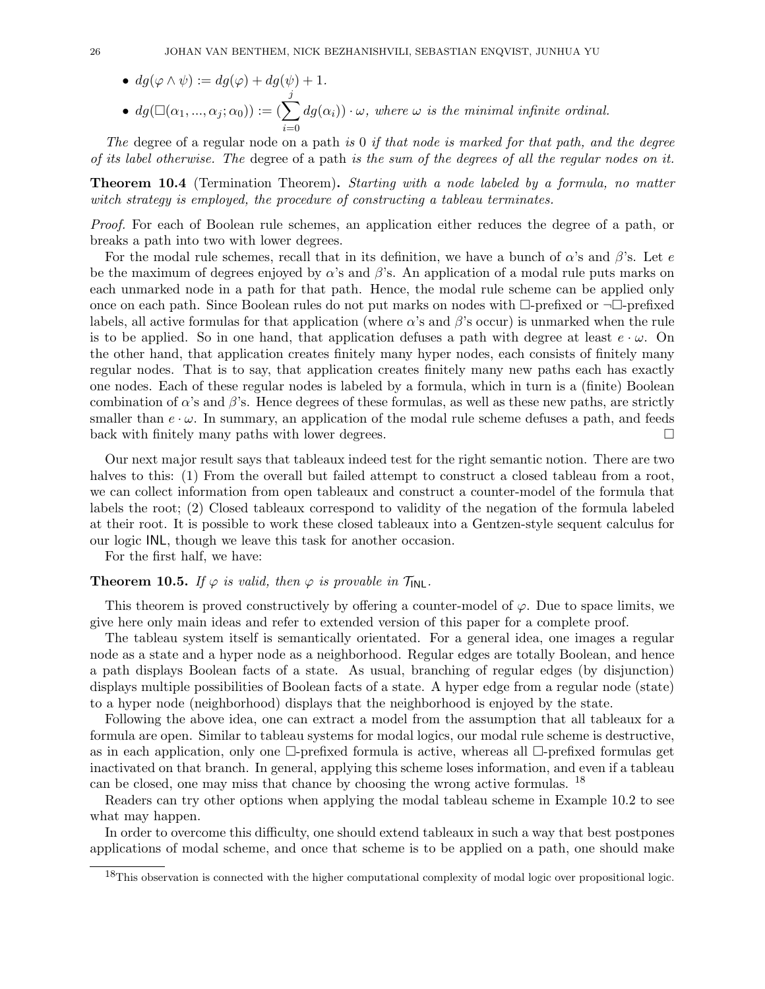•  $dg(\varphi \wedge \psi) := dg(\varphi) + dg(\psi) + 1.$ •  $dg(\Box(\alpha_1, ..., \alpha_j; \alpha_0)) := (\sum$ j  $i=0$  $dg(\alpha_i)) \cdot \omega$ , where  $\omega$  is the minimal infinite ordinal.

The degree of a regular node on a path is 0 if that node is marked for that path, and the degree of its label otherwise. The degree of a path is the sum of the degrees of all the regular nodes on it.

**Theorem 10.4** (Termination Theorem). Starting with a node labeled by a formula, no matter witch strategy is employed, the procedure of constructing a tableau terminates.

Proof. For each of Boolean rule schemes, an application either reduces the degree of a path, or breaks a path into two with lower degrees.

For the modal rule schemes, recall that in its definition, we have a bunch of  $\alpha$ 's and  $\beta$ 's. Let e be the maximum of degrees enjoyed by  $\alpha$ 's and  $\beta$ 's. An application of a modal rule puts marks on each unmarked node in a path for that path. Hence, the modal rule scheme can be applied only once on each path. Since Boolean rules do not put marks on nodes with  $\Box$ -prefixed or  $\neg\Box$ -prefixed labels, all active formulas for that application (where  $\alpha$ 's and  $\beta$ 's occur) is unmarked when the rule is to be applied. So in one hand, that application defuses a path with degree at least  $e \cdot \omega$ . On the other hand, that application creates finitely many hyper nodes, each consists of finitely many regular nodes. That is to say, that application creates finitely many new paths each has exactly one nodes. Each of these regular nodes is labeled by a formula, which in turn is a (finite) Boolean combination of  $\alpha$ 's and  $\beta$ 's. Hence degrees of these formulas, as well as these new paths, are strictly smaller than  $e \cdot \omega$ . In summary, an application of the modal rule scheme defuses a path, and feeds back with finitely many paths with lower degrees.  $\Box$ 

Our next major result says that tableaux indeed test for the right semantic notion. There are two halves to this: (1) From the overall but failed attempt to construct a closed tableau from a root, we can collect information from open tableaux and construct a counter-model of the formula that labels the root; (2) Closed tableaux correspond to validity of the negation of the formula labeled at their root. It is possible to work these closed tableaux into a Gentzen-style sequent calculus for our logic INL, though we leave this task for another occasion.

For the first half, we have:

# **Theorem 10.5.** If  $\varphi$  is valid, then  $\varphi$  is provable in  $\mathcal{T}_{\mathsf{INL}}$ .

This theorem is proved constructively by offering a counter-model of  $\varphi$ . Due to space limits, we give here only main ideas and refer to extended version of this paper for a complete proof.

The tableau system itself is semantically orientated. For a general idea, one images a regular node as a state and a hyper node as a neighborhood. Regular edges are totally Boolean, and hence a path displays Boolean facts of a state. As usual, branching of regular edges (by disjunction) displays multiple possibilities of Boolean facts of a state. A hyper edge from a regular node (state) to a hyper node (neighborhood) displays that the neighborhood is enjoyed by the state.

Following the above idea, one can extract a model from the assumption that all tableaux for a formula are open. Similar to tableau systems for modal logics, our modal rule scheme is destructive, as in each application, only one  $\Box$ -prefixed formula is active, whereas all  $\Box$ -prefixed formulas get inactivated on that branch. In general, applying this scheme loses information, and even if a tableau can be closed, one may miss that chance by choosing the wrong active formulas. <sup>18</sup>

Readers can try other options when applying the modal tableau scheme in Example 10.2 to see what may happen.

In order to overcome this difficulty, one should extend tableaux in such a way that best postpones applications of modal scheme, and once that scheme is to be applied on a path, one should make

<sup>&</sup>lt;sup>18</sup>This observation is connected with the higher computational complexity of modal logic over propositional logic.